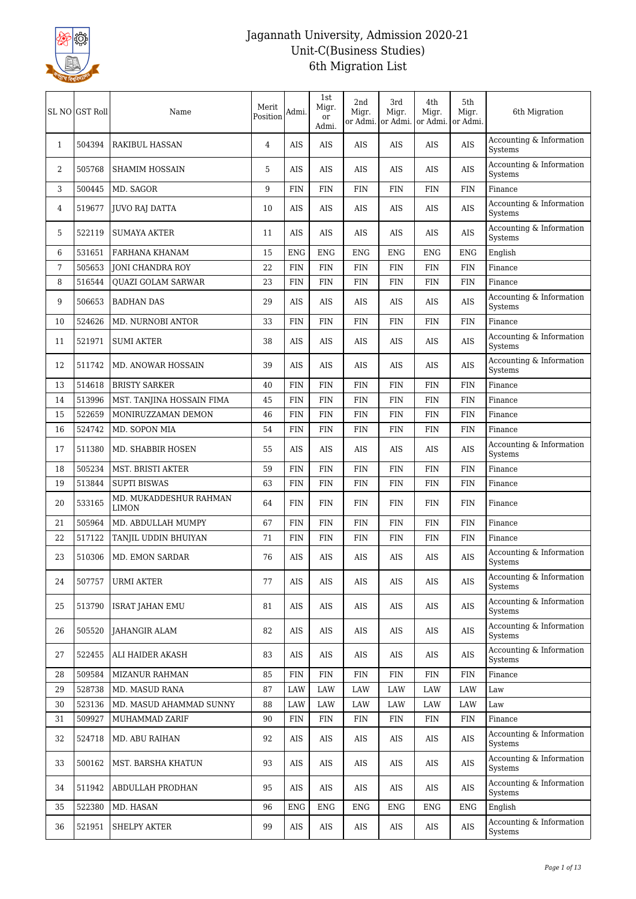

|              | SL NO GST Roll | Name                                   | Merit<br>Position | Admi.      | 1st<br>Migr.<br>or<br>Admi. | 2nd<br>Migr.<br>or Admi. | 3rd<br>Migr.<br>or Admi. | 4th<br>Migr.<br>or Admi. | 5th<br>Migr.<br>or Admi. | 6th Migration                       |
|--------------|----------------|----------------------------------------|-------------------|------------|-----------------------------|--------------------------|--------------------------|--------------------------|--------------------------|-------------------------------------|
| $\mathbf{1}$ | 504394         | <b>RAKIBUL HASSAN</b>                  | 4                 | <b>AIS</b> | <b>AIS</b>                  | AIS                      | AIS                      | AIS                      | AIS                      | Accounting & Information<br>Systems |
| 2            | 505768         | <b>SHAMIM HOSSAIN</b>                  | 5                 | <b>AIS</b> | AIS                         | AIS                      | AIS                      | AIS                      | <b>AIS</b>               | Accounting & Information<br>Systems |
| 3            | 500445         | MD. SAGOR                              | 9                 | <b>FIN</b> | FIN                         | FIN                      | <b>FIN</b>               | <b>FIN</b>               | FIN                      | Finance                             |
| 4            | 519677         | <b>JUVO RAJ DATTA</b>                  | 10                | AIS        | AIS                         | AIS                      | AIS                      | AIS                      | <b>AIS</b>               | Accounting & Information<br>Systems |
| 5            | 522119         | <b>SUMAYA AKTER</b>                    | 11                | AIS        | AIS                         | <b>AIS</b>               | AIS                      | AIS                      | <b>AIS</b>               | Accounting & Information<br>Systems |
| 6            | 531651         | FARHANA KHANAM                         | 15                | <b>ENG</b> | <b>ENG</b>                  | <b>ENG</b>               | <b>ENG</b>               | <b>ENG</b>               | <b>ENG</b>               | English                             |
| 7            | 505653         | <b>JONI CHANDRA ROY</b>                | 22                | FIN        | FIN                         | <b>FIN</b>               | <b>FIN</b>               | <b>FIN</b>               | <b>FIN</b>               | Finance                             |
| 8            | 516544         | <b>QUAZI GOLAM SARWAR</b>              | 23                | <b>FIN</b> | FIN                         | <b>FIN</b>               | <b>FIN</b>               | FIN                      | <b>FIN</b>               | Finance                             |
| 9            | 506653         | <b>BADHAN DAS</b>                      | 29                | <b>AIS</b> | <b>AIS</b>                  | AIS                      | AIS                      | AIS                      | <b>AIS</b>               | Accounting & Information<br>Systems |
| 10           | 524626         | <b>MD. NURNOBI ANTOR</b>               | 33                | <b>FIN</b> | FIN                         | <b>FIN</b>               | <b>FIN</b>               | <b>FIN</b>               | <b>FIN</b>               | Finance                             |
| 11           | 521971         | <b>SUMI AKTER</b>                      | 38                | <b>AIS</b> | AIS                         | AIS                      | AIS                      | AIS                      | AIS                      | Accounting & Information<br>Systems |
| 12           | 511742         | MD. ANOWAR HOSSAIN                     | 39                | <b>AIS</b> | AIS                         | AIS                      | AIS                      | AIS                      | <b>AIS</b>               | Accounting & Information<br>Systems |
| 13           | 514618         | <b>BRISTY SARKER</b>                   | 40                | <b>FIN</b> | <b>FIN</b>                  | <b>FIN</b>               | <b>FIN</b>               | <b>FIN</b>               | <b>FIN</b>               | Finance                             |
| 14           | 513996         | MST. TANJINA HOSSAIN FIMA              | 45                | <b>FIN</b> | FIN                         | FIN                      | <b>FIN</b>               | FIN                      | <b>FIN</b>               | Finance                             |
| 15           | 522659         | MONIRUZZAMAN DEMON                     | 46                | <b>FIN</b> | FIN                         | <b>FIN</b>               | <b>FIN</b>               | <b>FIN</b>               | <b>FIN</b>               | Finance                             |
| 16           | 524742         | MD. SOPON MIA                          | 54                | <b>FIN</b> | <b>FIN</b>                  | <b>FIN</b>               | <b>FIN</b>               | <b>FIN</b>               | <b>FIN</b>               | Finance                             |
| 17           | 511380         | MD. SHABBIR HOSEN                      | 55                | <b>AIS</b> | <b>AIS</b>                  | <b>AIS</b>               | AIS                      | AIS                      | <b>AIS</b>               | Accounting & Information<br>Systems |
| 18           | 505234         | MST. BRISTI AKTER                      | 59                | <b>FIN</b> | FIN                         | <b>FIN</b>               | <b>FIN</b>               | <b>FIN</b>               | <b>FIN</b>               | Finance                             |
| 19           | 513844         | <b>SUPTI BISWAS</b>                    | 63                | <b>FIN</b> | FIN                         | FIN                      | <b>FIN</b>               | FIN                      | <b>FIN</b>               | Finance                             |
| 20           | 533165         | MD. MUKADDESHUR RAHMAN<br><b>LIMON</b> | 64                | <b>FIN</b> | FIN                         | <b>FIN</b>               | <b>FIN</b>               | <b>FIN</b>               | FIN                      | Finance                             |
| 21           | 505964         | MD. ABDULLAH MUMPY                     | 67                | <b>FIN</b> | <b>FIN</b>                  | <b>FIN</b>               | <b>FIN</b>               | <b>FIN</b>               | <b>FIN</b>               | Finance                             |
| 22           | 517122         | TANJIL UDDIN BHUIYAN                   | 71                | <b>FIN</b> | FIN                         | FIN                      | <b>FIN</b>               | FIN                      | <b>FIN</b>               | Finance                             |
| 23           | 510306         | <b>MD. EMON SARDAR</b>                 | 76                | AIS        | AIS                         | <b>AIS</b>               | AIS                      | AIS                      | AIS                      | Accounting & Information<br>Systems |
| 24           | 507757         | <b>URMI AKTER</b>                      | 77                | AIS        | AIS                         | AIS                      | AIS                      | AIS                      | <b>AIS</b>               | Accounting & Information<br>Systems |
| 25           | 513790         | <b>ISRAT JAHAN EMU</b>                 | 81                | $\rm AIS$  | AIS                         | AIS                      | AIS                      | AIS                      | $\rm{AIS}$               | Accounting & Information<br>Systems |
| 26           | 505520         | JAHANGIR ALAM                          | 82                | AIS        | AIS                         | AIS                      | AIS                      | AIS                      | AIS                      | Accounting & Information<br>Systems |
| 27           | 522455         | ALI HAIDER AKASH                       | 83                | AIS        | AIS                         | AIS                      | AIS                      | AIS                      | AIS                      | Accounting & Information<br>Systems |
| 28           | 509584         | <b>MIZANUR RAHMAN</b>                  | 85                | <b>FIN</b> | <b>FIN</b>                  | FIN                      | <b>FIN</b>               | <b>FIN</b>               | <b>FIN</b>               | Finance                             |
| 29           | 528738         | MD. MASUD RANA                         | 87                | LAW        | LAW                         | LAW                      | LAW                      | LAW                      | LAW                      | Law                                 |
| 30           | 523136         | MD. MASUD AHAMMAD SUNNY                | 88                | LAW        | LAW                         | LAW                      | LAW                      | LAW                      | LAW                      | Law                                 |
| 31           | 509927         | MUHAMMAD ZARIF                         | 90                | <b>FIN</b> | <b>FIN</b>                  | <b>FIN</b>               | <b>FIN</b>               | FIN                      | <b>FIN</b>               | Finance                             |
| 32           | 524718         | MD. ABU RAIHAN                         | 92                | AIS        | AIS                         | AIS                      | AIS                      | AIS                      | AIS                      | Accounting & Information<br>Systems |
| 33           | 500162         | MST. BARSHA KHATUN                     | 93                | $\rm{AIS}$ | AIS                         | AIS                      | AIS                      | AIS                      | $\rm{AIS}$               | Accounting & Information<br>Systems |
| 34           | 511942         | ABDULLAH PRODHAN                       | 95                | AIS        | AIS                         | AIS                      | AIS                      | AIS                      | AIS                      | Accounting & Information<br>Systems |
| 35           | 522380         | MD. HASAN                              | 96                | <b>ENG</b> | <b>ENG</b>                  | <b>ENG</b>               | <b>ENG</b>               | <b>ENG</b>               | <b>ENG</b>               | English                             |
| 36           | 521951         | <b>SHELPY AKTER</b>                    | 99                | AIS        | AIS                         | AIS                      | AIS                      | AIS                      | AIS                      | Accounting & Information<br>Systems |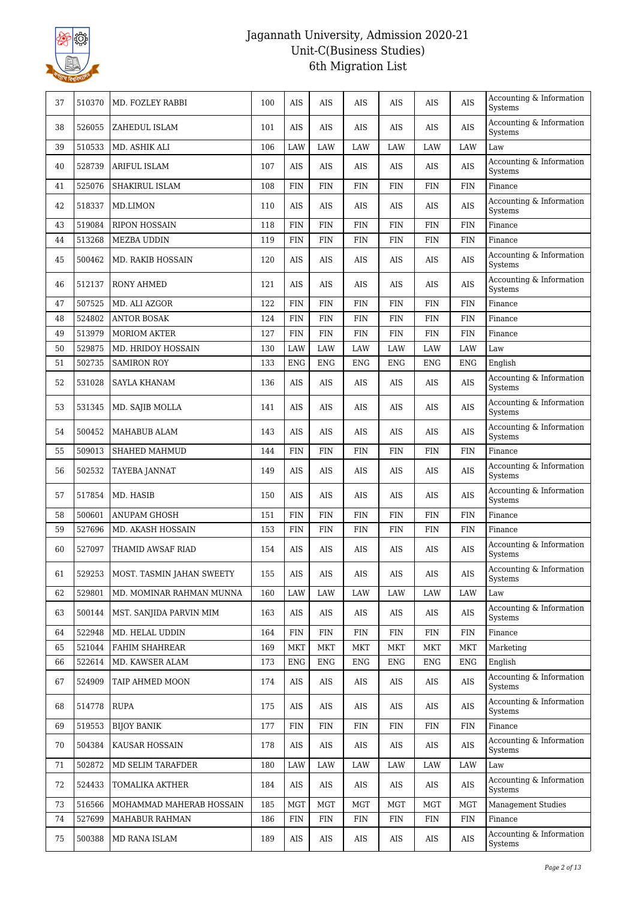

| 37 | 510370 | MD. FOZLEY RABBI          | 100 | AIS        | AIS        | AIS          | AIS        | AIS        | <b>AIS</b> | Accounting & Information<br>Systems        |
|----|--------|---------------------------|-----|------------|------------|--------------|------------|------------|------------|--------------------------------------------|
| 38 | 526055 | ZAHEDUL ISLAM             | 101 | <b>AIS</b> | AIS        | <b>AIS</b>   | AIS        | AIS        | <b>AIS</b> | Accounting & Information<br>Systems        |
| 39 | 510533 | MD. ASHIK ALI             | 106 | LAW        | LAW        | LAW          | <b>LAW</b> | <b>LAW</b> | LAW        | Law                                        |
| 40 | 528739 | <b>ARIFUL ISLAM</b>       | 107 | AIS        | AIS        | AIS          | AIS        | AIS        | <b>AIS</b> | Accounting & Information<br>Systems        |
| 41 | 525076 | SHAKIRUL ISLAM            | 108 | <b>FIN</b> | FIN        | FIN          | FIN        | <b>FIN</b> | <b>FIN</b> | Finance                                    |
| 42 | 518337 | MD.LIMON                  | 110 | AIS        | AIS        | <b>AIS</b>   | AIS        | AIS        | <b>AIS</b> | Accounting & Information<br>Systems        |
| 43 | 519084 | <b>RIPON HOSSAIN</b>      | 118 | <b>FIN</b> | <b>FIN</b> | $\text{FIN}$ | <b>FIN</b> | <b>FIN</b> | <b>FIN</b> | Finance                                    |
| 44 | 513268 | <b>MEZBA UDDIN</b>        | 119 | <b>FIN</b> | <b>FIN</b> | $\text{FIN}$ | <b>FIN</b> | <b>FIN</b> | <b>FIN</b> | Finance                                    |
| 45 | 500462 | <b>MD. RAKIB HOSSAIN</b>  | 120 | AIS        | AIS        | AIS          | AIS        | AIS        | AIS        | Accounting & Information<br>Systems        |
| 46 | 512137 | <b>RONY AHMED</b>         | 121 | AIS        | AIS        | AIS          | AIS        | AIS        | <b>AIS</b> | Accounting & Information<br>Systems        |
| 47 | 507525 | MD. ALI AZGOR             | 122 | <b>FIN</b> | <b>FIN</b> | <b>FIN</b>   | <b>FIN</b> | <b>FIN</b> | <b>FIN</b> | Finance                                    |
| 48 | 524802 | <b>ANTOR BOSAK</b>        | 124 | FIN        | FIN        | <b>FIN</b>   | <b>FIN</b> | <b>FIN</b> | <b>FIN</b> | Finance                                    |
| 49 | 513979 | <b>MORIOM AKTER</b>       | 127 | FIN        | <b>FIN</b> | $\text{FIN}$ | <b>FIN</b> | <b>FIN</b> | <b>FIN</b> | Finance                                    |
| 50 | 529875 | MD. HRIDOY HOSSAIN        | 130 | LAW        | LAW        | LAW          | LAW        | <b>LAW</b> | LAW        | Law                                        |
| 51 | 502735 | <b>SAMIRON ROY</b>        | 133 | <b>ENG</b> | <b>ENG</b> | <b>ENG</b>   | <b>ENG</b> | <b>ENG</b> | <b>ENG</b> | English                                    |
| 52 | 531028 | <b>SAYLA KHANAM</b>       | 136 | AIS        | AIS        | AIS          | AIS        | AIS        | <b>AIS</b> | Accounting & Information<br><b>Systems</b> |
| 53 | 531345 | MD. SAJIB MOLLA           | 141 | AIS        | AIS        | AIS          | AIS        | AIS        | <b>AIS</b> | Accounting & Information<br>Systems        |
| 54 | 500452 | MAHABUB ALAM              | 143 | AIS        | AIS        | AIS          | AIS        | AIS        | <b>AIS</b> | Accounting & Information<br>Systems        |
| 55 | 509013 | SHAHED MAHMUD             | 144 | <b>FIN</b> | <b>FIN</b> | <b>FIN</b>   | <b>FIN</b> | <b>FIN</b> | <b>FIN</b> | Finance                                    |
| 56 | 502532 | TAYEBA JANNAT             | 149 | AIS        | AIS        | AIS          | AIS        | AIS        | <b>AIS</b> | Accounting & Information<br>Systems        |
| 57 | 517854 | MD. HASIB                 | 150 | AIS        | AIS        | AIS          | AIS        | AIS        | <b>AIS</b> | Accounting & Information<br>Systems        |
| 58 | 500601 | <b>ANUPAM GHOSH</b>       | 151 | <b>FIN</b> | <b>FIN</b> | <b>FIN</b>   | <b>FIN</b> | <b>FIN</b> | <b>FIN</b> | Finance                                    |
| 59 | 527696 | MD. AKASH HOSSAIN         | 153 | <b>FIN</b> | <b>FIN</b> | $\text{FIN}$ | <b>FIN</b> | <b>FIN</b> | <b>FIN</b> | Finance                                    |
| 60 | 527097 | THAMID AWSAF RIAD         | 154 | AIS        | AIS        | AIS          | AIS        | AIS        | <b>AIS</b> | Accounting & Information<br>Systems        |
| 61 | 529253 | MOST. TASMIN JAHAN SWEETY | 155 | AIS        | AIS        | AIS          | AIS        | AIS        | AIS        | Accounting & Information<br>Systems        |
| 62 | 529801 | MD. MOMINAR RAHMAN MUNNA  | 160 | LAW        | LAW        | LAW          | LAW        | LAW        | LAW        | Law                                        |
| 63 | 500144 | MST. SANJIDA PARVIN MIM   | 163 | AIS        | AIS        | AIS          | AIS        | AIS        | AIS        | Accounting & Information<br>Systems        |
| 64 | 522948 | MD. HELAL UDDIN           | 164 | <b>FIN</b> | <b>FIN</b> | FIN          | FIN        | FIN        | <b>FIN</b> | Finance                                    |
| 65 | 521044 | <b>FAHIM SHAHREAR</b>     | 169 | MKT        | <b>MKT</b> | MKT          | MKT        | MKT        | MKT        | Marketing                                  |
| 66 | 522614 | MD. KAWSER ALAM           | 173 | <b>ENG</b> | <b>ENG</b> | <b>ENG</b>   | <b>ENG</b> | <b>ENG</b> | <b>ENG</b> | English                                    |
| 67 | 524909 | TAIP AHMED MOON           | 174 | AIS        | AIS        | AIS          | AIS        | AIS        | AIS        | Accounting & Information<br>Systems        |
| 68 | 514778 | RUPA                      | 175 | AIS        | AIS        | AIS          | AIS        | AIS        | AIS        | Accounting & Information<br>Systems        |
| 69 | 519553 | <b>BIJOY BANIK</b>        | 177 | <b>FIN</b> | <b>FIN</b> | FIN          | <b>FIN</b> | FIN        | <b>FIN</b> | Finance                                    |
| 70 | 504384 | KAUSAR HOSSAIN            | 178 | AIS        | AIS        | AIS          | AIS        | AIS        | AIS        | Accounting & Information<br>Systems        |
| 71 | 502872 | MD SELIM TARAFDER         | 180 | LAW        | LAW        | LAW          | LAW        | LAW        | LAW        | Law                                        |
| 72 | 524433 | TOMALIKA AKTHER           | 184 | AIS        | AIS        | AIS          | AIS        | AIS        | AIS        | Accounting & Information<br>Systems        |
| 73 | 516566 | MOHAMMAD MAHERAB HOSSAIN  | 185 | MGT        | MGT        | MGT          | MGT        | MGT        | <b>MGT</b> | <b>Management Studies</b>                  |
| 74 | 527699 | MAHABUR RAHMAN            | 186 | <b>FIN</b> | <b>FIN</b> | FIN          | FIN        | FIN        | <b>FIN</b> | Finance                                    |
| 75 | 500388 | MD RANA ISLAM             | 189 | AIS        | AIS        | AIS          | AIS        | AIS        | AIS        | Accounting & Information<br>Systems        |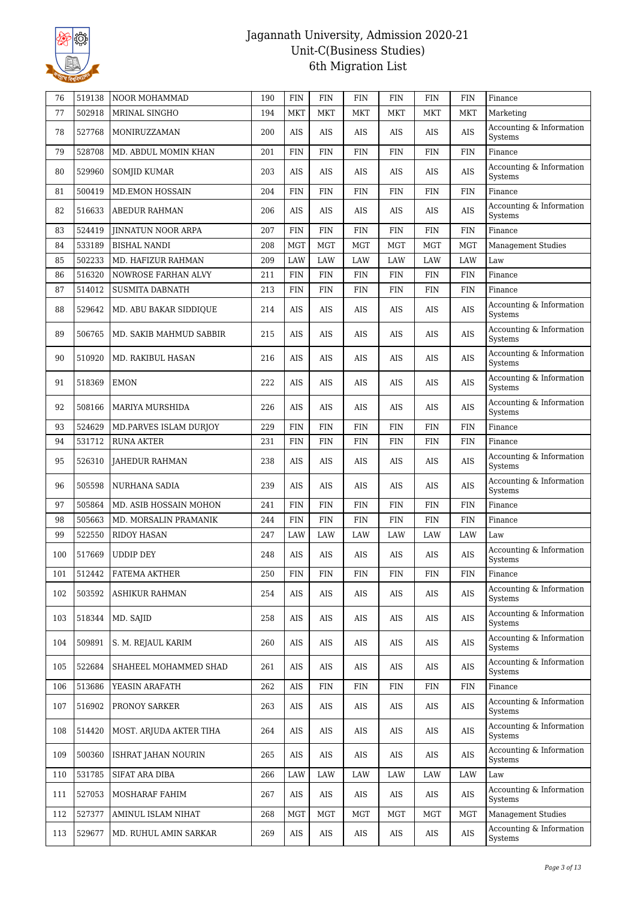

| 76  | 519138 | NOOR MOHAMMAD             | 190 | <b>FIN</b>  | FIN         | FIN          | <b>FIN</b>  | <b>FIN</b> | <b>FIN</b> | Finance                             |
|-----|--------|---------------------------|-----|-------------|-------------|--------------|-------------|------------|------------|-------------------------------------|
| 77  | 502918 | MRINAL SINGHO             | 194 | MKT         | <b>MKT</b>  | <b>MKT</b>   | <b>MKT</b>  | <b>MKT</b> | MKT        | Marketing                           |
| 78  | 527768 | MONIRUZZAMAN              | 200 | <b>AIS</b>  | AIS         | AIS          | AIS         | AIS        | <b>AIS</b> | Accounting & Information<br>Systems |
| 79  | 528708 | MD. ABDUL MOMIN KHAN      | 201 | <b>FIN</b>  | <b>FIN</b>  | <b>FIN</b>   | <b>FIN</b>  | <b>FIN</b> | <b>FIN</b> | Finance                             |
| 80  | 529960 | <b>SOMJID KUMAR</b>       | 203 | AIS         | AIS         | AIS          | AIS         | AIS        | AIS        | Accounting & Information<br>Systems |
| 81  | 500419 | <b>MD.EMON HOSSAIN</b>    | 204 | FIN         | FIN         | <b>FIN</b>   | <b>FIN</b>  | <b>FIN</b> | <b>FIN</b> | Finance                             |
| 82  | 516633 | <b>ABEDUR RAHMAN</b>      | 206 | AIS         | AIS         | AIS          | AIS         | AIS        | AIS        | Accounting & Information<br>Systems |
| 83  | 524419 | <b>JINNATUN NOOR ARPA</b> | 207 | FIN         | FIN         | $\text{FIN}$ | <b>FIN</b>  | <b>FIN</b> | <b>FIN</b> | Finance                             |
| 84  | 533189 | <b>BISHAL NANDI</b>       | 208 | <b>MGT</b>  | <b>MGT</b>  | <b>MGT</b>   | <b>MGT</b>  | <b>MGT</b> | <b>MGT</b> | <b>Management Studies</b>           |
| 85  | 502233 | MD. HAFIZUR RAHMAN        | 209 | LAW         | LAW         | LAW          | LAW         | <b>LAW</b> | <b>LAW</b> | Law                                 |
| 86  | 516320 | NOWROSE FARHAN ALVY       | 211 | <b>FIN</b>  | <b>FIN</b>  | FIN          | <b>FIN</b>  | <b>FIN</b> | <b>FIN</b> | Finance                             |
| 87  | 514012 | <b>SUSMITA DABNATH</b>    | 213 | <b>FIN</b>  | FIN         | FIN          | <b>FIN</b>  | <b>FIN</b> | <b>FIN</b> | Finance                             |
| 88  | 529642 | MD. ABU BAKAR SIDDIQUE    | 214 | AIS         | AIS         | AIS          | AIS         | AIS        | AIS        | Accounting & Information<br>Systems |
| 89  | 506765 | MD. SAKIB MAHMUD SABBIR   | 215 | AIS         | AIS         | AIS          | AIS         | AIS        | <b>AIS</b> | Accounting & Information<br>Systems |
| 90  | 510920 | MD. RAKIBUL HASAN         | 216 | AIS         | AIS         | AIS          | AIS         | AIS        | <b>AIS</b> | Accounting & Information<br>Systems |
| 91  | 518369 | <b>EMON</b>               | 222 | AIS         | AIS         | AIS          | AIS         | AIS        | <b>AIS</b> | Accounting & Information<br>Systems |
| 92  | 508166 | MARIYA MURSHIDA           | 226 | AIS         | AIS         | <b>AIS</b>   | AIS         | AIS        | <b>AIS</b> | Accounting & Information<br>Systems |
| 93  | 524629 | MD.PARVES ISLAM DURJOY    | 229 | <b>FIN</b>  | <b>FIN</b>  | <b>FIN</b>   | <b>FIN</b>  | <b>FIN</b> | <b>FIN</b> | Finance                             |
| 94  | 531712 | <b>RUNA AKTER</b>         | 231 | <b>FIN</b>  | FIN         | FIN          | <b>FIN</b>  | <b>FIN</b> | <b>FIN</b> | Finance                             |
| 95  | 526310 | <b>JAHEDUR RAHMAN</b>     | 238 | AIS         | AIS         | AIS          | AIS         | AIS        | <b>AIS</b> | Accounting & Information<br>Systems |
| 96  | 505598 | NURHANA SADIA             | 239 | AIS         | AIS         | <b>AIS</b>   | AIS         | AIS        | AIS        | Accounting & Information<br>Systems |
| 97  | 505864 | MD. ASIB HOSSAIN MOHON    | 241 | <b>FIN</b>  | <b>FIN</b>  | $\text{FIN}$ | <b>FIN</b>  | <b>FIN</b> | <b>FIN</b> | Finance                             |
| 98  | 505663 | MD. MORSALIN PRAMANIK     | 244 | <b>FIN</b>  | <b>FIN</b>  | <b>FIN</b>   | <b>FIN</b>  | <b>FIN</b> | FIN        | Finance                             |
| 99  | 522550 | <b>RIDOY HASAN</b>        | 247 | LAW         | LAW         | LAW          | LAW         | LAW        | LAW        | Law                                 |
| 100 | 517669 | <b>UDDIP DEY</b>          | 248 | AIS         | AIS         | <b>AIS</b>   | AIS         | AIS        | <b>AIS</b> | Accounting & Information<br>Systems |
| 101 | 512442 | FATEMA AKTHER             | 250 | ${\rm FIN}$ | ${\rm FIN}$ | FIN          | ${\rm FIN}$ | FIN        | <b>FIN</b> | Finance                             |
| 102 | 503592 | ASHIKUR RAHMAN            | 254 | AIS         | AIS         | AIS          | AIS         | AIS        | $\rm AIS$  | Accounting & Information<br>Systems |
| 103 | 518344 | MD. SAJID                 | 258 | AIS         | AIS         | AIS          | AIS         | $\rm{AIS}$ | AIS        | Accounting & Information<br>Systems |
| 104 | 509891 | S. M. REJAUL KARIM        | 260 | AIS         | AIS         | AIS          | AIS         | AIS        | AIS        | Accounting & Information<br>Systems |
| 105 | 522684 | SHAHEEL MOHAMMED SHAD     | 261 | AIS         | AIS         | AIS          | AIS         | AIS        | AIS        | Accounting & Information<br>Systems |
| 106 | 513686 | YEASIN ARAFATH            | 262 | AIS         | <b>FIN</b>  | ${\rm FIN}$  | FIN         | FIN        | <b>FIN</b> | Finance                             |
| 107 | 516902 | PRONOY SARKER             | 263 | AIS         | AIS         | AIS          | AIS         | AIS        | AIS        | Accounting & Information<br>Systems |
| 108 | 514420 | MOST. ARJUDA AKTER TIHA   | 264 | AIS         | AIS         | AIS          | AIS         | AIS        | AIS        | Accounting & Information<br>Systems |
| 109 | 500360 | ISHRAT JAHAN NOURIN       | 265 | AIS         | AIS         | AIS          | AIS         | AIS        | AIS        | Accounting & Information<br>Systems |
| 110 | 531785 | SIFAT ARA DIBA            | 266 | LAW         | LAW         | LAW          | LAW         | LAW        | LAW        | Law                                 |
| 111 | 527053 | MOSHARAF FAHIM            | 267 | AIS         | AIS         | AIS          | AIS         | AIS        | AIS        | Accounting & Information<br>Systems |
| 112 | 527377 | AMINUL ISLAM NIHAT        | 268 | MGT         | MGT         | MGT          | MGT         | MGT        | <b>MGT</b> | <b>Management Studies</b>           |
| 113 | 529677 | MD. RUHUL AMIN SARKAR     | 269 | AIS         | AIS         | AIS          | AIS         | AIS        | AIS        | Accounting & Information<br>Systems |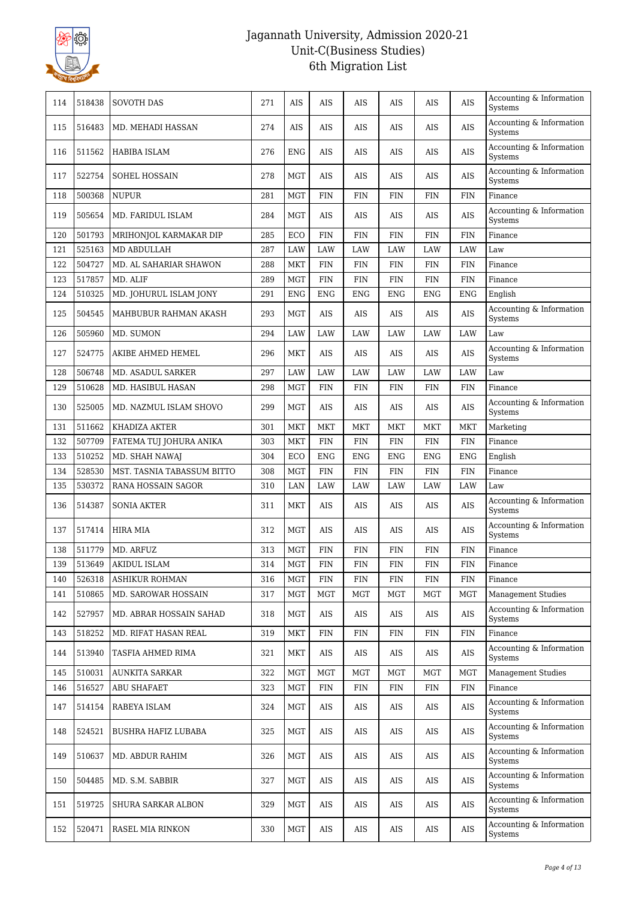

| 114 | 518438 | <b>SOVOTH DAS</b>          | 271 | AIS        | AIS        | <b>AIS</b> | AIS        | AIS        | AIS        | Accounting & Information<br><b>Systems</b> |
|-----|--------|----------------------------|-----|------------|------------|------------|------------|------------|------------|--------------------------------------------|
| 115 | 516483 | MD. MEHADI HASSAN          | 274 | <b>AIS</b> | AIS        | AIS        | AIS        | AIS        | <b>AIS</b> | Accounting & Information<br>Systems        |
| 116 | 511562 | HABIBA ISLAM               | 276 | ENG        | AIS        | AIS        | AIS        | AIS        | <b>AIS</b> | Accounting & Information<br>Systems        |
| 117 | 522754 | SOHEL HOSSAIN              | 278 | <b>MGT</b> | AIS        | AIS        | AIS        | AIS        | <b>AIS</b> | Accounting & Information<br>Systems        |
| 118 | 500368 | <b>NUPUR</b>               | 281 | <b>MGT</b> | <b>FIN</b> | <b>FIN</b> | <b>FIN</b> | <b>FIN</b> | <b>FIN</b> | Finance                                    |
| 119 | 505654 | MD. FARIDUL ISLAM          | 284 | <b>MGT</b> | AIS        | AIS        | AIS        | AIS        | <b>AIS</b> | Accounting & Information<br>Systems        |
| 120 | 501793 | MRIHONJOL KARMAKAR DIP     | 285 | ECO        | <b>FIN</b> | <b>FIN</b> | <b>FIN</b> | <b>FIN</b> | <b>FIN</b> | Finance                                    |
| 121 | 525163 | MD ABDULLAH                | 287 | LAW        | LAW        | <b>LAW</b> | LAW        | LAW        | LAW        | $_{\mbox{\footnotesize{Law}}}$             |
| 122 | 504727 | MD. AL SAHARIAR SHAWON     | 288 | MKT        | FIN        | FIN        | <b>FIN</b> | FIN        | <b>FIN</b> | Finance                                    |
| 123 | 517857 | MD. ALIF                   | 289 | <b>MGT</b> | <b>FIN</b> | <b>FIN</b> | <b>FIN</b> | <b>FIN</b> | <b>FIN</b> | Finance                                    |
| 124 | 510325 | MD. JOHURUL ISLAM JONY     | 291 | <b>ENG</b> | <b>ENG</b> | <b>ENG</b> | <b>ENG</b> | <b>ENG</b> | <b>ENG</b> | English                                    |
| 125 | 504545 | MAHBUBUR RAHMAN AKASH      | 293 | <b>MGT</b> | AIS        | AIS        | AIS        | AIS        | <b>AIS</b> | Accounting & Information<br>Systems        |
| 126 | 505960 | MD. SUMON                  | 294 | LAW        | LAW        | LAW        | LAW        | LAW        | LAW        | Law                                        |
| 127 | 524775 | AKIBE AHMED HEMEL          | 296 | <b>MKT</b> | AIS        | AIS        | AIS        | AIS        | <b>AIS</b> | Accounting & Information<br>Systems        |
| 128 | 506748 | MD. ASADUL SARKER          | 297 | LAW        | LAW        | LAW        | LAW        | LAW        | LAW        | Law                                        |
| 129 | 510628 | MD. HASIBUL HASAN          | 298 | <b>MGT</b> | FIN        | FIN        | <b>FIN</b> | FIN        | <b>FIN</b> | Finance                                    |
| 130 | 525005 | MD. NAZMUL ISLAM SHOVO     | 299 | <b>MGT</b> | AIS        | AIS        | AIS        | AIS        | AIS        | Accounting & Information<br>Systems        |
| 131 | 511662 | KHADIZA AKTER              | 301 | MKT        | <b>MKT</b> | <b>MKT</b> | <b>MKT</b> | <b>MKT</b> | MKT        | Marketing                                  |
| 132 | 507709 | FATEMA TUJ JOHURA ANIKA    | 303 | <b>MKT</b> | <b>FIN</b> | <b>FIN</b> | <b>FIN</b> | <b>FIN</b> | <b>FIN</b> | Finance                                    |
| 133 | 510252 | MD. SHAH NAWAJ             | 304 | ECO        | <b>ENG</b> | <b>ENG</b> | <b>ENG</b> | <b>ENG</b> | <b>ENG</b> | English                                    |
| 134 | 528530 | MST. TASNIA TABASSUM BITTO | 308 | <b>MGT</b> | <b>FIN</b> | <b>FIN</b> | <b>FIN</b> | <b>FIN</b> | <b>FIN</b> | Finance                                    |
| 135 | 530372 | RANA HOSSAIN SAGOR         | 310 | LAN        | LAW        | <b>LAW</b> | LAW        | <b>LAW</b> | LAW        | Law                                        |
| 136 | 514387 | <b>SONIA AKTER</b>         | 311 | <b>MKT</b> | AIS        | AIS        | AIS        | AIS        | <b>AIS</b> | Accounting & Information<br>Systems        |
| 137 | 517414 | HIRA MIA                   | 312 | MGT        | AIS        | <b>AIS</b> | AIS        | AIS        | <b>AIS</b> | Accounting & Information<br>Systems        |
| 138 | 511779 | MD. ARFUZ                  | 313 | <b>MGT</b> | <b>FIN</b> | <b>FIN</b> | <b>FIN</b> | <b>FIN</b> | <b>FIN</b> | Finance                                    |
| 139 | 513649 | <b>AKIDUL ISLAM</b>        | 314 | <b>MGT</b> | <b>FIN</b> | FIN        | <b>FIN</b> | FIN        | FIN        | Finance                                    |
| 140 | 526318 | ASHIKUR ROHMAN             | 316 | <b>MGT</b> | FIN        | FIN        | <b>FIN</b> | FIN        | FIN        | Finance                                    |
| 141 | 510865 | MD. SAROWAR HOSSAIN        | 317 | <b>MGT</b> | <b>MGT</b> | MGT        | MGT        | MGT        | <b>MGT</b> | <b>Management Studies</b>                  |
| 142 | 527957 | MD. ABRAR HOSSAIN SAHAD    | 318 | <b>MGT</b> | AIS        | AIS        | AIS        | AIS        | AIS        | Accounting & Information<br>Systems        |
| 143 | 518252 | MD. RIFAT HASAN REAL       | 319 | <b>MKT</b> | <b>FIN</b> | FIN        | <b>FIN</b> | <b>FIN</b> | <b>FIN</b> | Finance                                    |
| 144 | 513940 | TASFIA AHMED RIMA          | 321 | MKT        | AIS        | AIS        | AIS        | AIS        | AIS        | Accounting & Information<br>Systems        |
| 145 | 510031 | <b>AUNKITA SARKAR</b>      | 322 | MGT        | <b>MGT</b> | MGT        | <b>MGT</b> | MGT        | <b>MGT</b> | <b>Management Studies</b>                  |
| 146 | 516527 | <b>ABU SHAFAET</b>         | 323 | <b>MGT</b> | <b>FIN</b> | <b>FIN</b> | <b>FIN</b> | <b>FIN</b> | <b>FIN</b> | Finance                                    |
| 147 | 514154 | RABEYA ISLAM               | 324 | <b>MGT</b> | AIS        | AIS        | AIS        | AIS        | AIS        | Accounting & Information<br>Systems        |
| 148 | 524521 | BUSHRA HAFIZ LUBABA        | 325 | MGT        | AIS        | AIS        | AIS        | AIS        | AIS        | Accounting & Information<br>Systems        |
| 149 | 510637 | MD. ABDUR RAHIM            | 326 | <b>MGT</b> | AIS        | AIS        | AIS        | AIS        | AIS        | Accounting & Information<br>Systems        |
| 150 | 504485 | MD. S.M. SABBIR            | 327 | <b>MGT</b> | AIS        | AIS        | AIS        | AIS        | AIS        | Accounting & Information<br>Systems        |
| 151 | 519725 | SHURA SARKAR ALBON         | 329 | <b>MGT</b> | AIS        | AIS        | AIS        | AIS        | AIS        | Accounting & Information<br>Systems        |
| 152 | 520471 | RASEL MIA RINKON           | 330 | <b>MGT</b> | AIS        | AIS        | AIS        | AIS        | AIS        | Accounting & Information<br>Systems        |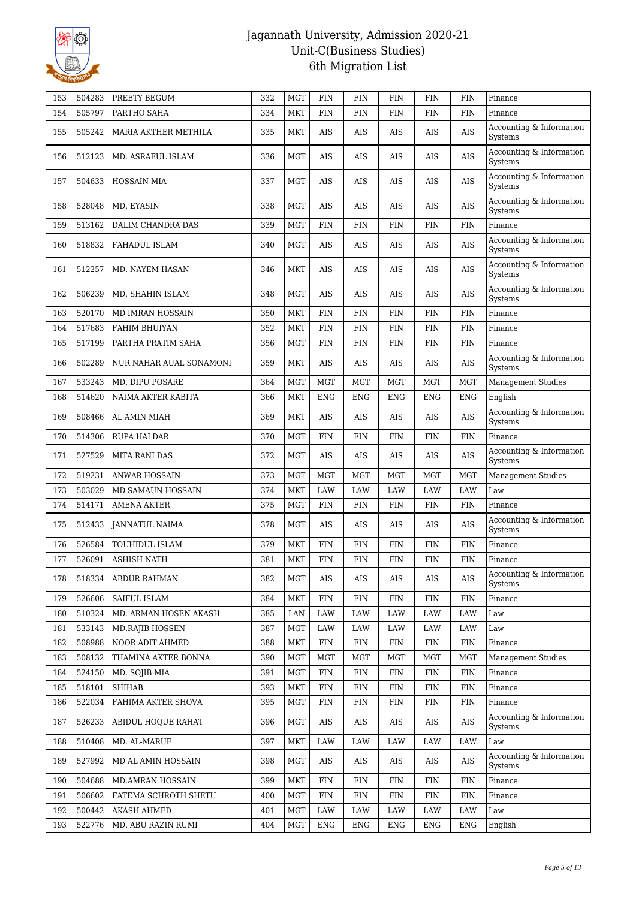

| 505797<br>154<br>PARTHO SAHA<br>334<br><b>MKT</b><br><b>FIN</b><br>FIN<br>FIN<br>FIN<br>FIN<br>Finance<br>Accounting & Information<br>505242<br>MARIA AKTHER METHILA<br>335<br>MKT<br>AIS<br>AIS<br>AIS<br>AIS<br><b>AIS</b><br>155<br>Systems<br>Accounting & Information<br>512123<br>336<br><b>MGT</b><br>AIS<br><b>AIS</b><br>156<br>MD. ASRAFUL ISLAM<br>AIS<br>AIS<br>AIS<br>Systems<br>Accounting & Information<br>AIS<br>AIS<br><b>AIS</b><br>504633<br><b>HOSSAIN MIA</b><br>337<br>MGT<br>AIS<br>AIS<br>157<br>Systems<br>Accounting & Information<br>528048<br>MD. EYASIN<br>338<br>MGT<br>AIS<br>AIS<br>AIS<br>AIS<br>AIS<br>158<br>Systems<br>513162<br>DALIM CHANDRA DAS<br>339<br><b>MGT</b><br>159<br>FIN<br>FIN<br><b>FIN</b><br><b>FIN</b><br><b>FIN</b><br>Finance<br>Accounting & Information<br>518832<br><b>MGT</b><br>160<br>FAHADUL ISLAM<br>340<br>AIS<br>AIS<br>AIS<br>AIS<br>AIS<br>Systems<br>Accounting & Information<br><b>AIS</b><br>512257<br>MD. NAYEM HASAN<br>346<br><b>MKT</b><br>AIS<br>AIS<br>AIS<br>AIS<br>161<br>Systems<br>Accounting & Information<br>506239<br>162<br>MD. SHAHIN ISLAM<br>348<br>MGT<br>AIS<br>AIS<br>AIS<br>AIS<br>AIS<br>Systems<br>520170<br><b>MKT</b><br>163<br>MD IMRAN HOSSAIN<br>350<br>FIN<br>FIN<br>FIN<br><b>FIN</b><br><b>FIN</b><br>Finance<br>517683<br><b>FIN</b><br><b>FIN</b><br><b>FIN</b><br><b>FIN</b><br><b>FIN</b><br>164<br><b>FAHIM BHUIYAN</b><br>352<br><b>MKT</b><br>Finance<br>517199<br>165<br>PARTHA PRATIM SAHA<br>356<br>MGT<br>FIN<br>FIN<br>FIN<br><b>FIN</b><br><b>FIN</b><br>Finance<br>Accounting & Information<br>502289<br>359<br>MKT<br>AIS<br>AIS<br>AIS<br>AIS<br><b>AIS</b><br>166<br>NUR NAHAR AUAL SONAMONI<br>Systems<br>533243<br>MD. DIPU POSARE<br>364<br><b>MGT</b><br><b>MGT</b><br><b>MGT</b><br><b>MGT</b><br><b>MGT</b><br><b>MGT</b><br>167<br><b>Management Studies</b><br>514620<br>168<br>NAIMA AKTER KABITA<br>366<br><b>MKT</b><br><b>ENG</b><br><b>ENG</b><br><b>ENG</b><br><b>ENG</b><br><b>ENG</b><br>English<br>Accounting & Information<br>169<br>508466<br>AL AMIN MIAH<br>369<br>MKT<br>AIS<br>AIS<br>AIS<br>AIS<br>AIS<br>Systems<br>514306<br>170<br>RUPA HALDAR<br>370<br>MGT<br><b>FIN</b><br>FIN<br><b>FIN</b><br><b>FIN</b><br><b>FIN</b><br>Finance<br>Accounting & Information<br><b>AIS</b><br>171<br>527529<br><b>MITA RANI DAS</b><br>372<br>MGT<br>AIS<br>AIS<br>AIS<br>AIS<br>Systems<br>519231<br>172<br><b>ANWAR HOSSAIN</b><br>373<br><b>MGT</b><br><b>MGT</b><br><b>MGT</b><br><b>MGT</b><br><b>MGT</b><br><b>MGT</b><br><b>Management Studies</b><br>503029<br><b>LAW</b><br>LAW<br><b>LAW</b><br><b>LAW</b><br>Law<br>173<br>MD SAMAUN HOSSAIN<br>374<br><b>MKT</b><br>LAW<br>174<br>514171<br><b>AMENA AKTER</b><br>375<br>MGT<br>FIN<br><b>FIN</b><br><b>FIN</b><br><b>FIN</b><br><b>FIN</b><br>Finance<br>Accounting & Information<br>512433<br><b>JANNATUL NAIMA</b><br>378<br>MGT<br>AIS<br>AIS<br>AIS<br>AIS<br>AIS<br>175<br>Systems<br>526584<br>MKT<br>176<br>TOUHIDUL ISLAM<br>379<br>FIN<br>FIN<br><b>FIN</b><br><b>FIN</b><br><b>FIN</b><br>Finance<br>526091<br>177<br><b>ASHISH NATH</b><br>381<br>MKT<br>FIN<br>FIN<br><b>FIN</b><br><b>FIN</b><br><b>FIN</b><br>Finance<br>Accounting & Information<br>518334<br>382<br>MGT<br>AIS<br>AIS<br>AIS<br>AIS<br>178<br>ABDUR RAHMAN<br>AIS<br>Systems<br>526606<br><b>SAIFUL ISLAM</b><br>384<br>179<br>MKT<br><b>FIN</b><br>FIN<br>FIN<br><b>FIN</b><br>FIN<br>Finance<br>510324<br>MD. ARMAN HOSEN AKASH<br>385<br>LAW<br>LAW<br>LAW<br>LAW<br>180<br>LAN<br>LAW<br>Law<br>533143<br>387<br><b>MGT</b><br>LAW<br>LAW<br>LAW<br>LAW<br>LAW<br>Law<br>181<br>MD.RAJIB HOSSEN<br>508988<br>182<br>NOOR ADIT AHMED<br>388<br><b>MKT</b><br><b>FIN</b><br><b>FIN</b><br>FIN<br>FIN<br><b>FIN</b><br>Finance<br>508132<br>183<br>THAMINA AKTER BONNA<br>390<br><b>MGT</b><br><b>MGT</b><br>MGT<br><b>MGT</b><br><b>MGT</b><br><b>MGT</b><br><b>Management Studies</b><br>524150<br>184<br>391<br><b>MGT</b><br><b>FIN</b><br><b>FIN</b><br>FIN<br><b>FIN</b><br><b>FIN</b><br>MD. SOJIB MIA<br>Finance<br>518101<br><b>SHIHAB</b><br>393<br><b>FIN</b><br>FIN<br><b>FIN</b><br>FIN<br><b>FIN</b><br>185<br>MKT<br>Finance<br>522034<br>FAHIMA AKTER SHOVA<br>395<br><b>MGT</b><br><b>FIN</b><br>FIN<br>FIN<br><b>FIN</b><br>186<br>FIN<br>Finance<br>Accounting & Information<br>526233<br>ABIDUL HOQUE RAHAT<br>396<br>MGT<br>AIS<br>AIS<br>AIS<br>AIS<br>AIS<br>187<br>Systems<br>510408<br>MD. AL-MARUF<br>397<br>188<br>MKT<br>LAW<br>LAW<br>LAW<br>LAW<br>LAW<br>Law<br>Accounting & Information<br>527992<br>398<br>189<br>MD AL AMIN HOSSAIN<br>MGT<br>AIS<br>AIS<br>AIS<br>AIS<br>AIS<br>Systems<br>504688<br><b>MD.AMRAN HOSSAIN</b><br>399<br><b>MKT</b><br>FIN<br><b>FIN</b><br><b>FIN</b><br>190<br>FIN<br>FIN<br>Finance<br>506602<br>191<br>FATEMA SCHROTH SHETU<br>400<br><b>MGT</b><br><b>FIN</b><br>${\rm FIN}$<br><b>FIN</b><br><b>FIN</b><br><b>FIN</b><br>Finance<br>500442<br>401<br><b>MGT</b><br>192<br><b>AKASH AHMED</b><br>LAW<br>LAW<br>LAW<br>LAW<br>LAW<br>Law | 153 | 504283 | PREETY BEGUM | 332 | <b>MGT</b> | <b>FIN</b> | <b>FIN</b> | <b>FIN</b> | <b>FIN</b> | <b>FIN</b> | Finance |
|-----------------------------------------------------------------------------------------------------------------------------------------------------------------------------------------------------------------------------------------------------------------------------------------------------------------------------------------------------------------------------------------------------------------------------------------------------------------------------------------------------------------------------------------------------------------------------------------------------------------------------------------------------------------------------------------------------------------------------------------------------------------------------------------------------------------------------------------------------------------------------------------------------------------------------------------------------------------------------------------------------------------------------------------------------------------------------------------------------------------------------------------------------------------------------------------------------------------------------------------------------------------------------------------------------------------------------------------------------------------------------------------------------------------------------------------------------------------------------------------------------------------------------------------------------------------------------------------------------------------------------------------------------------------------------------------------------------------------------------------------------------------------------------------------------------------------------------------------------------------------------------------------------------------------------------------------------------------------------------------------------------------------------------------------------------------------------------------------------------------------------------------------------------------------------------------------------------------------------------------------------------------------------------------------------------------------------------------------------------------------------------------------------------------------------------------------------------------------------------------------------------------------------------------------------------------------------------------------------------------------------------------------------------------------------------------------------------------------------------------------------------------------------------------------------------------------------------------------------------------------------------------------------------------------------------------------------------------------------------------------------------------------------------------------------------------------------------------------------------------------------------------------------------------------------------------------------------------------------------------------------------------------------------------------------------------------------------------------------------------------------------------------------------------------------------------------------------------------------------------------------------------------------------------------------------------------------------------------------------------------------------------------------------------------------------------------------------------------------------------------------------------------------------------------------------------------------------------------------------------------------------------------------------------------------------------------------------------------------------------------------------------------------------------------------------------------------------------------------------------------------------------------------------------------------------------------------------------------------------------------------------------------------------------------------------------------------------------------------------------------------------------------------------------------------------------------------------------------------------------------------------------------------------------------------------------------------------------------------------------------------------------------------------------------------------------------------------------------------------------------------------------------------------------------------------------------------------------------------------------------------------------------------------------------------------------------------------------------------------------------------------------------------------------------------------------------------------------------------|-----|--------|--------------|-----|------------|------------|------------|------------|------------|------------|---------|
|                                                                                                                                                                                                                                                                                                                                                                                                                                                                                                                                                                                                                                                                                                                                                                                                                                                                                                                                                                                                                                                                                                                                                                                                                                                                                                                                                                                                                                                                                                                                                                                                                                                                                                                                                                                                                                                                                                                                                                                                                                                                                                                                                                                                                                                                                                                                                                                                                                                                                                                                                                                                                                                                                                                                                                                                                                                                                                                                                                                                                                                                                                                                                                                                                                                                                                                                                                                                                                                                                                                                                                                                                                                                                                                                                                                                                                                                                                                                                                                                                                                                                                                                                                                                                                                                                                                                                                                                                                                                                                                                                                                                                                                                                                                                                                                                                                                                                                                                                                                                                                                                                                     |     |        |              |     |            |            |            |            |            |            |         |
|                                                                                                                                                                                                                                                                                                                                                                                                                                                                                                                                                                                                                                                                                                                                                                                                                                                                                                                                                                                                                                                                                                                                                                                                                                                                                                                                                                                                                                                                                                                                                                                                                                                                                                                                                                                                                                                                                                                                                                                                                                                                                                                                                                                                                                                                                                                                                                                                                                                                                                                                                                                                                                                                                                                                                                                                                                                                                                                                                                                                                                                                                                                                                                                                                                                                                                                                                                                                                                                                                                                                                                                                                                                                                                                                                                                                                                                                                                                                                                                                                                                                                                                                                                                                                                                                                                                                                                                                                                                                                                                                                                                                                                                                                                                                                                                                                                                                                                                                                                                                                                                                                                     |     |        |              |     |            |            |            |            |            |            |         |
|                                                                                                                                                                                                                                                                                                                                                                                                                                                                                                                                                                                                                                                                                                                                                                                                                                                                                                                                                                                                                                                                                                                                                                                                                                                                                                                                                                                                                                                                                                                                                                                                                                                                                                                                                                                                                                                                                                                                                                                                                                                                                                                                                                                                                                                                                                                                                                                                                                                                                                                                                                                                                                                                                                                                                                                                                                                                                                                                                                                                                                                                                                                                                                                                                                                                                                                                                                                                                                                                                                                                                                                                                                                                                                                                                                                                                                                                                                                                                                                                                                                                                                                                                                                                                                                                                                                                                                                                                                                                                                                                                                                                                                                                                                                                                                                                                                                                                                                                                                                                                                                                                                     |     |        |              |     |            |            |            |            |            |            |         |
|                                                                                                                                                                                                                                                                                                                                                                                                                                                                                                                                                                                                                                                                                                                                                                                                                                                                                                                                                                                                                                                                                                                                                                                                                                                                                                                                                                                                                                                                                                                                                                                                                                                                                                                                                                                                                                                                                                                                                                                                                                                                                                                                                                                                                                                                                                                                                                                                                                                                                                                                                                                                                                                                                                                                                                                                                                                                                                                                                                                                                                                                                                                                                                                                                                                                                                                                                                                                                                                                                                                                                                                                                                                                                                                                                                                                                                                                                                                                                                                                                                                                                                                                                                                                                                                                                                                                                                                                                                                                                                                                                                                                                                                                                                                                                                                                                                                                                                                                                                                                                                                                                                     |     |        |              |     |            |            |            |            |            |            |         |
|                                                                                                                                                                                                                                                                                                                                                                                                                                                                                                                                                                                                                                                                                                                                                                                                                                                                                                                                                                                                                                                                                                                                                                                                                                                                                                                                                                                                                                                                                                                                                                                                                                                                                                                                                                                                                                                                                                                                                                                                                                                                                                                                                                                                                                                                                                                                                                                                                                                                                                                                                                                                                                                                                                                                                                                                                                                                                                                                                                                                                                                                                                                                                                                                                                                                                                                                                                                                                                                                                                                                                                                                                                                                                                                                                                                                                                                                                                                                                                                                                                                                                                                                                                                                                                                                                                                                                                                                                                                                                                                                                                                                                                                                                                                                                                                                                                                                                                                                                                                                                                                                                                     |     |        |              |     |            |            |            |            |            |            |         |
|                                                                                                                                                                                                                                                                                                                                                                                                                                                                                                                                                                                                                                                                                                                                                                                                                                                                                                                                                                                                                                                                                                                                                                                                                                                                                                                                                                                                                                                                                                                                                                                                                                                                                                                                                                                                                                                                                                                                                                                                                                                                                                                                                                                                                                                                                                                                                                                                                                                                                                                                                                                                                                                                                                                                                                                                                                                                                                                                                                                                                                                                                                                                                                                                                                                                                                                                                                                                                                                                                                                                                                                                                                                                                                                                                                                                                                                                                                                                                                                                                                                                                                                                                                                                                                                                                                                                                                                                                                                                                                                                                                                                                                                                                                                                                                                                                                                                                                                                                                                                                                                                                                     |     |        |              |     |            |            |            |            |            |            |         |
|                                                                                                                                                                                                                                                                                                                                                                                                                                                                                                                                                                                                                                                                                                                                                                                                                                                                                                                                                                                                                                                                                                                                                                                                                                                                                                                                                                                                                                                                                                                                                                                                                                                                                                                                                                                                                                                                                                                                                                                                                                                                                                                                                                                                                                                                                                                                                                                                                                                                                                                                                                                                                                                                                                                                                                                                                                                                                                                                                                                                                                                                                                                                                                                                                                                                                                                                                                                                                                                                                                                                                                                                                                                                                                                                                                                                                                                                                                                                                                                                                                                                                                                                                                                                                                                                                                                                                                                                                                                                                                                                                                                                                                                                                                                                                                                                                                                                                                                                                                                                                                                                                                     |     |        |              |     |            |            |            |            |            |            |         |
|                                                                                                                                                                                                                                                                                                                                                                                                                                                                                                                                                                                                                                                                                                                                                                                                                                                                                                                                                                                                                                                                                                                                                                                                                                                                                                                                                                                                                                                                                                                                                                                                                                                                                                                                                                                                                                                                                                                                                                                                                                                                                                                                                                                                                                                                                                                                                                                                                                                                                                                                                                                                                                                                                                                                                                                                                                                                                                                                                                                                                                                                                                                                                                                                                                                                                                                                                                                                                                                                                                                                                                                                                                                                                                                                                                                                                                                                                                                                                                                                                                                                                                                                                                                                                                                                                                                                                                                                                                                                                                                                                                                                                                                                                                                                                                                                                                                                                                                                                                                                                                                                                                     |     |        |              |     |            |            |            |            |            |            |         |
|                                                                                                                                                                                                                                                                                                                                                                                                                                                                                                                                                                                                                                                                                                                                                                                                                                                                                                                                                                                                                                                                                                                                                                                                                                                                                                                                                                                                                                                                                                                                                                                                                                                                                                                                                                                                                                                                                                                                                                                                                                                                                                                                                                                                                                                                                                                                                                                                                                                                                                                                                                                                                                                                                                                                                                                                                                                                                                                                                                                                                                                                                                                                                                                                                                                                                                                                                                                                                                                                                                                                                                                                                                                                                                                                                                                                                                                                                                                                                                                                                                                                                                                                                                                                                                                                                                                                                                                                                                                                                                                                                                                                                                                                                                                                                                                                                                                                                                                                                                                                                                                                                                     |     |        |              |     |            |            |            |            |            |            |         |
|                                                                                                                                                                                                                                                                                                                                                                                                                                                                                                                                                                                                                                                                                                                                                                                                                                                                                                                                                                                                                                                                                                                                                                                                                                                                                                                                                                                                                                                                                                                                                                                                                                                                                                                                                                                                                                                                                                                                                                                                                                                                                                                                                                                                                                                                                                                                                                                                                                                                                                                                                                                                                                                                                                                                                                                                                                                                                                                                                                                                                                                                                                                                                                                                                                                                                                                                                                                                                                                                                                                                                                                                                                                                                                                                                                                                                                                                                                                                                                                                                                                                                                                                                                                                                                                                                                                                                                                                                                                                                                                                                                                                                                                                                                                                                                                                                                                                                                                                                                                                                                                                                                     |     |        |              |     |            |            |            |            |            |            |         |
|                                                                                                                                                                                                                                                                                                                                                                                                                                                                                                                                                                                                                                                                                                                                                                                                                                                                                                                                                                                                                                                                                                                                                                                                                                                                                                                                                                                                                                                                                                                                                                                                                                                                                                                                                                                                                                                                                                                                                                                                                                                                                                                                                                                                                                                                                                                                                                                                                                                                                                                                                                                                                                                                                                                                                                                                                                                                                                                                                                                                                                                                                                                                                                                                                                                                                                                                                                                                                                                                                                                                                                                                                                                                                                                                                                                                                                                                                                                                                                                                                                                                                                                                                                                                                                                                                                                                                                                                                                                                                                                                                                                                                                                                                                                                                                                                                                                                                                                                                                                                                                                                                                     |     |        |              |     |            |            |            |            |            |            |         |
|                                                                                                                                                                                                                                                                                                                                                                                                                                                                                                                                                                                                                                                                                                                                                                                                                                                                                                                                                                                                                                                                                                                                                                                                                                                                                                                                                                                                                                                                                                                                                                                                                                                                                                                                                                                                                                                                                                                                                                                                                                                                                                                                                                                                                                                                                                                                                                                                                                                                                                                                                                                                                                                                                                                                                                                                                                                                                                                                                                                                                                                                                                                                                                                                                                                                                                                                                                                                                                                                                                                                                                                                                                                                                                                                                                                                                                                                                                                                                                                                                                                                                                                                                                                                                                                                                                                                                                                                                                                                                                                                                                                                                                                                                                                                                                                                                                                                                                                                                                                                                                                                                                     |     |        |              |     |            |            |            |            |            |            |         |
|                                                                                                                                                                                                                                                                                                                                                                                                                                                                                                                                                                                                                                                                                                                                                                                                                                                                                                                                                                                                                                                                                                                                                                                                                                                                                                                                                                                                                                                                                                                                                                                                                                                                                                                                                                                                                                                                                                                                                                                                                                                                                                                                                                                                                                                                                                                                                                                                                                                                                                                                                                                                                                                                                                                                                                                                                                                                                                                                                                                                                                                                                                                                                                                                                                                                                                                                                                                                                                                                                                                                                                                                                                                                                                                                                                                                                                                                                                                                                                                                                                                                                                                                                                                                                                                                                                                                                                                                                                                                                                                                                                                                                                                                                                                                                                                                                                                                                                                                                                                                                                                                                                     |     |        |              |     |            |            |            |            |            |            |         |
|                                                                                                                                                                                                                                                                                                                                                                                                                                                                                                                                                                                                                                                                                                                                                                                                                                                                                                                                                                                                                                                                                                                                                                                                                                                                                                                                                                                                                                                                                                                                                                                                                                                                                                                                                                                                                                                                                                                                                                                                                                                                                                                                                                                                                                                                                                                                                                                                                                                                                                                                                                                                                                                                                                                                                                                                                                                                                                                                                                                                                                                                                                                                                                                                                                                                                                                                                                                                                                                                                                                                                                                                                                                                                                                                                                                                                                                                                                                                                                                                                                                                                                                                                                                                                                                                                                                                                                                                                                                                                                                                                                                                                                                                                                                                                                                                                                                                                                                                                                                                                                                                                                     |     |        |              |     |            |            |            |            |            |            |         |
|                                                                                                                                                                                                                                                                                                                                                                                                                                                                                                                                                                                                                                                                                                                                                                                                                                                                                                                                                                                                                                                                                                                                                                                                                                                                                                                                                                                                                                                                                                                                                                                                                                                                                                                                                                                                                                                                                                                                                                                                                                                                                                                                                                                                                                                                                                                                                                                                                                                                                                                                                                                                                                                                                                                                                                                                                                                                                                                                                                                                                                                                                                                                                                                                                                                                                                                                                                                                                                                                                                                                                                                                                                                                                                                                                                                                                                                                                                                                                                                                                                                                                                                                                                                                                                                                                                                                                                                                                                                                                                                                                                                                                                                                                                                                                                                                                                                                                                                                                                                                                                                                                                     |     |        |              |     |            |            |            |            |            |            |         |
|                                                                                                                                                                                                                                                                                                                                                                                                                                                                                                                                                                                                                                                                                                                                                                                                                                                                                                                                                                                                                                                                                                                                                                                                                                                                                                                                                                                                                                                                                                                                                                                                                                                                                                                                                                                                                                                                                                                                                                                                                                                                                                                                                                                                                                                                                                                                                                                                                                                                                                                                                                                                                                                                                                                                                                                                                                                                                                                                                                                                                                                                                                                                                                                                                                                                                                                                                                                                                                                                                                                                                                                                                                                                                                                                                                                                                                                                                                                                                                                                                                                                                                                                                                                                                                                                                                                                                                                                                                                                                                                                                                                                                                                                                                                                                                                                                                                                                                                                                                                                                                                                                                     |     |        |              |     |            |            |            |            |            |            |         |
|                                                                                                                                                                                                                                                                                                                                                                                                                                                                                                                                                                                                                                                                                                                                                                                                                                                                                                                                                                                                                                                                                                                                                                                                                                                                                                                                                                                                                                                                                                                                                                                                                                                                                                                                                                                                                                                                                                                                                                                                                                                                                                                                                                                                                                                                                                                                                                                                                                                                                                                                                                                                                                                                                                                                                                                                                                                                                                                                                                                                                                                                                                                                                                                                                                                                                                                                                                                                                                                                                                                                                                                                                                                                                                                                                                                                                                                                                                                                                                                                                                                                                                                                                                                                                                                                                                                                                                                                                                                                                                                                                                                                                                                                                                                                                                                                                                                                                                                                                                                                                                                                                                     |     |        |              |     |            |            |            |            |            |            |         |
|                                                                                                                                                                                                                                                                                                                                                                                                                                                                                                                                                                                                                                                                                                                                                                                                                                                                                                                                                                                                                                                                                                                                                                                                                                                                                                                                                                                                                                                                                                                                                                                                                                                                                                                                                                                                                                                                                                                                                                                                                                                                                                                                                                                                                                                                                                                                                                                                                                                                                                                                                                                                                                                                                                                                                                                                                                                                                                                                                                                                                                                                                                                                                                                                                                                                                                                                                                                                                                                                                                                                                                                                                                                                                                                                                                                                                                                                                                                                                                                                                                                                                                                                                                                                                                                                                                                                                                                                                                                                                                                                                                                                                                                                                                                                                                                                                                                                                                                                                                                                                                                                                                     |     |        |              |     |            |            |            |            |            |            |         |
|                                                                                                                                                                                                                                                                                                                                                                                                                                                                                                                                                                                                                                                                                                                                                                                                                                                                                                                                                                                                                                                                                                                                                                                                                                                                                                                                                                                                                                                                                                                                                                                                                                                                                                                                                                                                                                                                                                                                                                                                                                                                                                                                                                                                                                                                                                                                                                                                                                                                                                                                                                                                                                                                                                                                                                                                                                                                                                                                                                                                                                                                                                                                                                                                                                                                                                                                                                                                                                                                                                                                                                                                                                                                                                                                                                                                                                                                                                                                                                                                                                                                                                                                                                                                                                                                                                                                                                                                                                                                                                                                                                                                                                                                                                                                                                                                                                                                                                                                                                                                                                                                                                     |     |        |              |     |            |            |            |            |            |            |         |
|                                                                                                                                                                                                                                                                                                                                                                                                                                                                                                                                                                                                                                                                                                                                                                                                                                                                                                                                                                                                                                                                                                                                                                                                                                                                                                                                                                                                                                                                                                                                                                                                                                                                                                                                                                                                                                                                                                                                                                                                                                                                                                                                                                                                                                                                                                                                                                                                                                                                                                                                                                                                                                                                                                                                                                                                                                                                                                                                                                                                                                                                                                                                                                                                                                                                                                                                                                                                                                                                                                                                                                                                                                                                                                                                                                                                                                                                                                                                                                                                                                                                                                                                                                                                                                                                                                                                                                                                                                                                                                                                                                                                                                                                                                                                                                                                                                                                                                                                                                                                                                                                                                     |     |        |              |     |            |            |            |            |            |            |         |
|                                                                                                                                                                                                                                                                                                                                                                                                                                                                                                                                                                                                                                                                                                                                                                                                                                                                                                                                                                                                                                                                                                                                                                                                                                                                                                                                                                                                                                                                                                                                                                                                                                                                                                                                                                                                                                                                                                                                                                                                                                                                                                                                                                                                                                                                                                                                                                                                                                                                                                                                                                                                                                                                                                                                                                                                                                                                                                                                                                                                                                                                                                                                                                                                                                                                                                                                                                                                                                                                                                                                                                                                                                                                                                                                                                                                                                                                                                                                                                                                                                                                                                                                                                                                                                                                                                                                                                                                                                                                                                                                                                                                                                                                                                                                                                                                                                                                                                                                                                                                                                                                                                     |     |        |              |     |            |            |            |            |            |            |         |
|                                                                                                                                                                                                                                                                                                                                                                                                                                                                                                                                                                                                                                                                                                                                                                                                                                                                                                                                                                                                                                                                                                                                                                                                                                                                                                                                                                                                                                                                                                                                                                                                                                                                                                                                                                                                                                                                                                                                                                                                                                                                                                                                                                                                                                                                                                                                                                                                                                                                                                                                                                                                                                                                                                                                                                                                                                                                                                                                                                                                                                                                                                                                                                                                                                                                                                                                                                                                                                                                                                                                                                                                                                                                                                                                                                                                                                                                                                                                                                                                                                                                                                                                                                                                                                                                                                                                                                                                                                                                                                                                                                                                                                                                                                                                                                                                                                                                                                                                                                                                                                                                                                     |     |        |              |     |            |            |            |            |            |            |         |
|                                                                                                                                                                                                                                                                                                                                                                                                                                                                                                                                                                                                                                                                                                                                                                                                                                                                                                                                                                                                                                                                                                                                                                                                                                                                                                                                                                                                                                                                                                                                                                                                                                                                                                                                                                                                                                                                                                                                                                                                                                                                                                                                                                                                                                                                                                                                                                                                                                                                                                                                                                                                                                                                                                                                                                                                                                                                                                                                                                                                                                                                                                                                                                                                                                                                                                                                                                                                                                                                                                                                                                                                                                                                                                                                                                                                                                                                                                                                                                                                                                                                                                                                                                                                                                                                                                                                                                                                                                                                                                                                                                                                                                                                                                                                                                                                                                                                                                                                                                                                                                                                                                     |     |        |              |     |            |            |            |            |            |            |         |
|                                                                                                                                                                                                                                                                                                                                                                                                                                                                                                                                                                                                                                                                                                                                                                                                                                                                                                                                                                                                                                                                                                                                                                                                                                                                                                                                                                                                                                                                                                                                                                                                                                                                                                                                                                                                                                                                                                                                                                                                                                                                                                                                                                                                                                                                                                                                                                                                                                                                                                                                                                                                                                                                                                                                                                                                                                                                                                                                                                                                                                                                                                                                                                                                                                                                                                                                                                                                                                                                                                                                                                                                                                                                                                                                                                                                                                                                                                                                                                                                                                                                                                                                                                                                                                                                                                                                                                                                                                                                                                                                                                                                                                                                                                                                                                                                                                                                                                                                                                                                                                                                                                     |     |        |              |     |            |            |            |            |            |            |         |
|                                                                                                                                                                                                                                                                                                                                                                                                                                                                                                                                                                                                                                                                                                                                                                                                                                                                                                                                                                                                                                                                                                                                                                                                                                                                                                                                                                                                                                                                                                                                                                                                                                                                                                                                                                                                                                                                                                                                                                                                                                                                                                                                                                                                                                                                                                                                                                                                                                                                                                                                                                                                                                                                                                                                                                                                                                                                                                                                                                                                                                                                                                                                                                                                                                                                                                                                                                                                                                                                                                                                                                                                                                                                                                                                                                                                                                                                                                                                                                                                                                                                                                                                                                                                                                                                                                                                                                                                                                                                                                                                                                                                                                                                                                                                                                                                                                                                                                                                                                                                                                                                                                     |     |        |              |     |            |            |            |            |            |            |         |
|                                                                                                                                                                                                                                                                                                                                                                                                                                                                                                                                                                                                                                                                                                                                                                                                                                                                                                                                                                                                                                                                                                                                                                                                                                                                                                                                                                                                                                                                                                                                                                                                                                                                                                                                                                                                                                                                                                                                                                                                                                                                                                                                                                                                                                                                                                                                                                                                                                                                                                                                                                                                                                                                                                                                                                                                                                                                                                                                                                                                                                                                                                                                                                                                                                                                                                                                                                                                                                                                                                                                                                                                                                                                                                                                                                                                                                                                                                                                                                                                                                                                                                                                                                                                                                                                                                                                                                                                                                                                                                                                                                                                                                                                                                                                                                                                                                                                                                                                                                                                                                                                                                     |     |        |              |     |            |            |            |            |            |            |         |
|                                                                                                                                                                                                                                                                                                                                                                                                                                                                                                                                                                                                                                                                                                                                                                                                                                                                                                                                                                                                                                                                                                                                                                                                                                                                                                                                                                                                                                                                                                                                                                                                                                                                                                                                                                                                                                                                                                                                                                                                                                                                                                                                                                                                                                                                                                                                                                                                                                                                                                                                                                                                                                                                                                                                                                                                                                                                                                                                                                                                                                                                                                                                                                                                                                                                                                                                                                                                                                                                                                                                                                                                                                                                                                                                                                                                                                                                                                                                                                                                                                                                                                                                                                                                                                                                                                                                                                                                                                                                                                                                                                                                                                                                                                                                                                                                                                                                                                                                                                                                                                                                                                     |     |        |              |     |            |            |            |            |            |            |         |
|                                                                                                                                                                                                                                                                                                                                                                                                                                                                                                                                                                                                                                                                                                                                                                                                                                                                                                                                                                                                                                                                                                                                                                                                                                                                                                                                                                                                                                                                                                                                                                                                                                                                                                                                                                                                                                                                                                                                                                                                                                                                                                                                                                                                                                                                                                                                                                                                                                                                                                                                                                                                                                                                                                                                                                                                                                                                                                                                                                                                                                                                                                                                                                                                                                                                                                                                                                                                                                                                                                                                                                                                                                                                                                                                                                                                                                                                                                                                                                                                                                                                                                                                                                                                                                                                                                                                                                                                                                                                                                                                                                                                                                                                                                                                                                                                                                                                                                                                                                                                                                                                                                     |     |        |              |     |            |            |            |            |            |            |         |
|                                                                                                                                                                                                                                                                                                                                                                                                                                                                                                                                                                                                                                                                                                                                                                                                                                                                                                                                                                                                                                                                                                                                                                                                                                                                                                                                                                                                                                                                                                                                                                                                                                                                                                                                                                                                                                                                                                                                                                                                                                                                                                                                                                                                                                                                                                                                                                                                                                                                                                                                                                                                                                                                                                                                                                                                                                                                                                                                                                                                                                                                                                                                                                                                                                                                                                                                                                                                                                                                                                                                                                                                                                                                                                                                                                                                                                                                                                                                                                                                                                                                                                                                                                                                                                                                                                                                                                                                                                                                                                                                                                                                                                                                                                                                                                                                                                                                                                                                                                                                                                                                                                     |     |        |              |     |            |            |            |            |            |            |         |
|                                                                                                                                                                                                                                                                                                                                                                                                                                                                                                                                                                                                                                                                                                                                                                                                                                                                                                                                                                                                                                                                                                                                                                                                                                                                                                                                                                                                                                                                                                                                                                                                                                                                                                                                                                                                                                                                                                                                                                                                                                                                                                                                                                                                                                                                                                                                                                                                                                                                                                                                                                                                                                                                                                                                                                                                                                                                                                                                                                                                                                                                                                                                                                                                                                                                                                                                                                                                                                                                                                                                                                                                                                                                                                                                                                                                                                                                                                                                                                                                                                                                                                                                                                                                                                                                                                                                                                                                                                                                                                                                                                                                                                                                                                                                                                                                                                                                                                                                                                                                                                                                                                     |     |        |              |     |            |            |            |            |            |            |         |
|                                                                                                                                                                                                                                                                                                                                                                                                                                                                                                                                                                                                                                                                                                                                                                                                                                                                                                                                                                                                                                                                                                                                                                                                                                                                                                                                                                                                                                                                                                                                                                                                                                                                                                                                                                                                                                                                                                                                                                                                                                                                                                                                                                                                                                                                                                                                                                                                                                                                                                                                                                                                                                                                                                                                                                                                                                                                                                                                                                                                                                                                                                                                                                                                                                                                                                                                                                                                                                                                                                                                                                                                                                                                                                                                                                                                                                                                                                                                                                                                                                                                                                                                                                                                                                                                                                                                                                                                                                                                                                                                                                                                                                                                                                                                                                                                                                                                                                                                                                                                                                                                                                     |     |        |              |     |            |            |            |            |            |            |         |
|                                                                                                                                                                                                                                                                                                                                                                                                                                                                                                                                                                                                                                                                                                                                                                                                                                                                                                                                                                                                                                                                                                                                                                                                                                                                                                                                                                                                                                                                                                                                                                                                                                                                                                                                                                                                                                                                                                                                                                                                                                                                                                                                                                                                                                                                                                                                                                                                                                                                                                                                                                                                                                                                                                                                                                                                                                                                                                                                                                                                                                                                                                                                                                                                                                                                                                                                                                                                                                                                                                                                                                                                                                                                                                                                                                                                                                                                                                                                                                                                                                                                                                                                                                                                                                                                                                                                                                                                                                                                                                                                                                                                                                                                                                                                                                                                                                                                                                                                                                                                                                                                                                     |     |        |              |     |            |            |            |            |            |            |         |
|                                                                                                                                                                                                                                                                                                                                                                                                                                                                                                                                                                                                                                                                                                                                                                                                                                                                                                                                                                                                                                                                                                                                                                                                                                                                                                                                                                                                                                                                                                                                                                                                                                                                                                                                                                                                                                                                                                                                                                                                                                                                                                                                                                                                                                                                                                                                                                                                                                                                                                                                                                                                                                                                                                                                                                                                                                                                                                                                                                                                                                                                                                                                                                                                                                                                                                                                                                                                                                                                                                                                                                                                                                                                                                                                                                                                                                                                                                                                                                                                                                                                                                                                                                                                                                                                                                                                                                                                                                                                                                                                                                                                                                                                                                                                                                                                                                                                                                                                                                                                                                                                                                     |     |        |              |     |            |            |            |            |            |            |         |
|                                                                                                                                                                                                                                                                                                                                                                                                                                                                                                                                                                                                                                                                                                                                                                                                                                                                                                                                                                                                                                                                                                                                                                                                                                                                                                                                                                                                                                                                                                                                                                                                                                                                                                                                                                                                                                                                                                                                                                                                                                                                                                                                                                                                                                                                                                                                                                                                                                                                                                                                                                                                                                                                                                                                                                                                                                                                                                                                                                                                                                                                                                                                                                                                                                                                                                                                                                                                                                                                                                                                                                                                                                                                                                                                                                                                                                                                                                                                                                                                                                                                                                                                                                                                                                                                                                                                                                                                                                                                                                                                                                                                                                                                                                                                                                                                                                                                                                                                                                                                                                                                                                     |     |        |              |     |            |            |            |            |            |            |         |
|                                                                                                                                                                                                                                                                                                                                                                                                                                                                                                                                                                                                                                                                                                                                                                                                                                                                                                                                                                                                                                                                                                                                                                                                                                                                                                                                                                                                                                                                                                                                                                                                                                                                                                                                                                                                                                                                                                                                                                                                                                                                                                                                                                                                                                                                                                                                                                                                                                                                                                                                                                                                                                                                                                                                                                                                                                                                                                                                                                                                                                                                                                                                                                                                                                                                                                                                                                                                                                                                                                                                                                                                                                                                                                                                                                                                                                                                                                                                                                                                                                                                                                                                                                                                                                                                                                                                                                                                                                                                                                                                                                                                                                                                                                                                                                                                                                                                                                                                                                                                                                                                                                     |     |        |              |     |            |            |            |            |            |            |         |
|                                                                                                                                                                                                                                                                                                                                                                                                                                                                                                                                                                                                                                                                                                                                                                                                                                                                                                                                                                                                                                                                                                                                                                                                                                                                                                                                                                                                                                                                                                                                                                                                                                                                                                                                                                                                                                                                                                                                                                                                                                                                                                                                                                                                                                                                                                                                                                                                                                                                                                                                                                                                                                                                                                                                                                                                                                                                                                                                                                                                                                                                                                                                                                                                                                                                                                                                                                                                                                                                                                                                                                                                                                                                                                                                                                                                                                                                                                                                                                                                                                                                                                                                                                                                                                                                                                                                                                                                                                                                                                                                                                                                                                                                                                                                                                                                                                                                                                                                                                                                                                                                                                     |     |        |              |     |            |            |            |            |            |            |         |
|                                                                                                                                                                                                                                                                                                                                                                                                                                                                                                                                                                                                                                                                                                                                                                                                                                                                                                                                                                                                                                                                                                                                                                                                                                                                                                                                                                                                                                                                                                                                                                                                                                                                                                                                                                                                                                                                                                                                                                                                                                                                                                                                                                                                                                                                                                                                                                                                                                                                                                                                                                                                                                                                                                                                                                                                                                                                                                                                                                                                                                                                                                                                                                                                                                                                                                                                                                                                                                                                                                                                                                                                                                                                                                                                                                                                                                                                                                                                                                                                                                                                                                                                                                                                                                                                                                                                                                                                                                                                                                                                                                                                                                                                                                                                                                                                                                                                                                                                                                                                                                                                                                     |     |        |              |     |            |            |            |            |            |            |         |
|                                                                                                                                                                                                                                                                                                                                                                                                                                                                                                                                                                                                                                                                                                                                                                                                                                                                                                                                                                                                                                                                                                                                                                                                                                                                                                                                                                                                                                                                                                                                                                                                                                                                                                                                                                                                                                                                                                                                                                                                                                                                                                                                                                                                                                                                                                                                                                                                                                                                                                                                                                                                                                                                                                                                                                                                                                                                                                                                                                                                                                                                                                                                                                                                                                                                                                                                                                                                                                                                                                                                                                                                                                                                                                                                                                                                                                                                                                                                                                                                                                                                                                                                                                                                                                                                                                                                                                                                                                                                                                                                                                                                                                                                                                                                                                                                                                                                                                                                                                                                                                                                                                     |     |        |              |     |            |            |            |            |            |            |         |
|                                                                                                                                                                                                                                                                                                                                                                                                                                                                                                                                                                                                                                                                                                                                                                                                                                                                                                                                                                                                                                                                                                                                                                                                                                                                                                                                                                                                                                                                                                                                                                                                                                                                                                                                                                                                                                                                                                                                                                                                                                                                                                                                                                                                                                                                                                                                                                                                                                                                                                                                                                                                                                                                                                                                                                                                                                                                                                                                                                                                                                                                                                                                                                                                                                                                                                                                                                                                                                                                                                                                                                                                                                                                                                                                                                                                                                                                                                                                                                                                                                                                                                                                                                                                                                                                                                                                                                                                                                                                                                                                                                                                                                                                                                                                                                                                                                                                                                                                                                                                                                                                                                     |     |        |              |     |            |            |            |            |            |            |         |
| 522776<br>193<br>MD. ABU RAZIN RUMI<br>404<br>MGT<br>ENG<br>ENG<br>ENG<br>ENG<br>ENG<br>English                                                                                                                                                                                                                                                                                                                                                                                                                                                                                                                                                                                                                                                                                                                                                                                                                                                                                                                                                                                                                                                                                                                                                                                                                                                                                                                                                                                                                                                                                                                                                                                                                                                                                                                                                                                                                                                                                                                                                                                                                                                                                                                                                                                                                                                                                                                                                                                                                                                                                                                                                                                                                                                                                                                                                                                                                                                                                                                                                                                                                                                                                                                                                                                                                                                                                                                                                                                                                                                                                                                                                                                                                                                                                                                                                                                                                                                                                                                                                                                                                                                                                                                                                                                                                                                                                                                                                                                                                                                                                                                                                                                                                                                                                                                                                                                                                                                                                                                                                                                                     |     |        |              |     |            |            |            |            |            |            |         |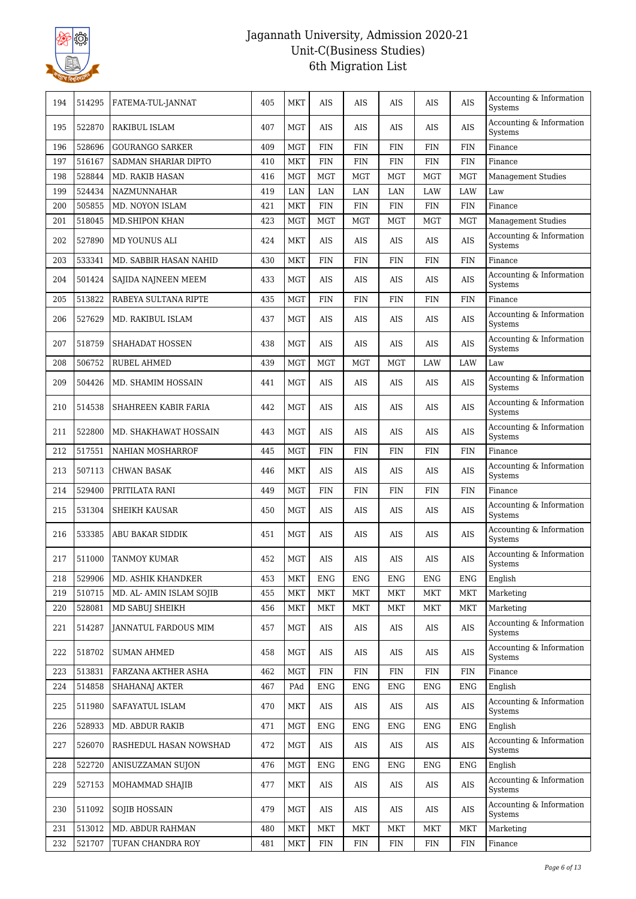

| 194 | 514295 | FATEMA-TUL-JANNAT           | 405 | <b>MKT</b> | AIS        | AIS        | AIS        | AIS        | <b>AIS</b> | Accounting & Information<br><b>Systems</b> |
|-----|--------|-----------------------------|-----|------------|------------|------------|------------|------------|------------|--------------------------------------------|
| 195 | 522870 | <b>RAKIBUL ISLAM</b>        | 407 | MGT        | AIS        | <b>AIS</b> | AIS        | AIS        | <b>AIS</b> | Accounting & Information<br>Systems        |
| 196 | 528696 | <b>GOURANGO SARKER</b>      | 409 | <b>MGT</b> | <b>FIN</b> | <b>FIN</b> | <b>FIN</b> | <b>FIN</b> | <b>FIN</b> | Finance                                    |
| 197 | 516167 | SADMAN SHARIAR DIPTO        | 410 | MKT        | <b>FIN</b> | <b>FIN</b> | <b>FIN</b> | <b>FIN</b> | <b>FIN</b> | Finance                                    |
| 198 | 528844 | <b>MD. RAKIB HASAN</b>      | 416 | <b>MGT</b> | <b>MGT</b> | <b>MGT</b> | <b>MGT</b> | <b>MGT</b> | <b>MGT</b> | Management Studies                         |
| 199 | 524434 | NAZMUNNAHAR                 | 419 | LAN        | LAN        | LAN        | LAN        | LAW        | LAW        | Law                                        |
| 200 | 505855 | MD. NOYON ISLAM             | 421 | MKT        | <b>FIN</b> | <b>FIN</b> | <b>FIN</b> | <b>FIN</b> | <b>FIN</b> | Finance                                    |
| 201 | 518045 | MD.SHIPON KHAN              | 423 | <b>MGT</b> | <b>MGT</b> | <b>MGT</b> | <b>MGT</b> | <b>MGT</b> | <b>MGT</b> | <b>Management Studies</b>                  |
| 202 | 527890 | MD YOUNUS ALI               | 424 | <b>MKT</b> | AIS        | AIS        | AIS        | AIS        | <b>AIS</b> | Accounting & Information<br>Systems        |
| 203 | 533341 | MD. SABBIR HASAN NAHID      | 430 | <b>MKT</b> | <b>FIN</b> | <b>FIN</b> | <b>FIN</b> | <b>FIN</b> | <b>FIN</b> | Finance                                    |
| 204 | 501424 | SAJIDA NAJNEEN MEEM         | 433 | <b>MGT</b> | AIS        | AIS        | AIS        | AIS        | <b>AIS</b> | Accounting & Information<br>Systems        |
| 205 | 513822 | RABEYA SULTANA RIPTE        | 435 | <b>MGT</b> | FIN        | FIN        | <b>FIN</b> | FIN        | FIN        | Finance                                    |
| 206 | 527629 | MD. RAKIBUL ISLAM           | 437 | <b>MGT</b> | AIS        | <b>AIS</b> | AIS        | AIS        | AIS        | Accounting & Information<br>Systems        |
| 207 | 518759 | SHAHADAT HOSSEN             | 438 | <b>MGT</b> | AIS        | AIS        | AIS        | AIS        | <b>AIS</b> | Accounting & Information<br>Systems        |
| 208 | 506752 | <b>RUBEL AHMED</b>          | 439 | <b>MGT</b> | <b>MGT</b> | <b>MGT</b> | <b>MGT</b> | <b>LAW</b> | <b>LAW</b> | Law                                        |
| 209 | 504426 | MD. SHAMIM HOSSAIN          | 441 | <b>MGT</b> | AIS        | AIS        | AIS        | AIS        | AIS        | Accounting & Information<br>Systems        |
| 210 | 514538 | SHAHREEN KABIR FARIA        | 442 | <b>MGT</b> | AIS        | AIS        | AIS        | AIS        | AIS        | Accounting & Information<br>Systems        |
| 211 | 522800 | MD. SHAKHAWAT HOSSAIN       | 443 | <b>MGT</b> | AIS        | AIS        | AIS        | AIS        | <b>AIS</b> | Accounting & Information<br>Systems        |
| 212 | 517551 | NAHIAN MOSHARROF            | 445 | <b>MGT</b> | <b>FIN</b> | <b>FIN</b> | <b>FIN</b> | FIN        | <b>FIN</b> | Finance                                    |
| 213 | 507113 | <b>CHWAN BASAK</b>          | 446 | <b>MKT</b> | AIS        | AIS        | AIS        | AIS        | <b>AIS</b> | Accounting & Information<br>Systems        |
| 214 | 529400 | PRITILATA RANI              | 449 | <b>MGT</b> | <b>FIN</b> | FIN        | <b>FIN</b> | FIN        | <b>FIN</b> | Finance                                    |
| 215 | 531304 | <b>SHEIKH KAUSAR</b>        | 450 | <b>MGT</b> | AIS        | AIS        | AIS        | AIS        | AIS        | Accounting & Information<br>Systems        |
| 216 | 533385 | ABU BAKAR SIDDIK            | 451 | <b>MGT</b> | AIS        | AIS        | AIS        | AIS        | AIS        | Accounting & Information<br>Systems        |
| 217 | 511000 | <b>TANMOY KUMAR</b>         | 452 | <b>MGT</b> | AIS        | AIS        | AIS        | AIS        | <b>AIS</b> | Accounting & Information<br>Systems        |
| 218 | 529906 | MD. ASHIK KHANDKER          | 453 | <b>MKT</b> | <b>ENG</b> | <b>ENG</b> | <b>ENG</b> | <b>ENG</b> | <b>ENG</b> | English                                    |
| 219 | 510715 | MD. AL- AMIN ISLAM SOJIB    | 455 | <b>MKT</b> | <b>MKT</b> | <b>MKT</b> | <b>MKT</b> | <b>MKT</b> | <b>MKT</b> | Marketing                                  |
| 220 | 528081 | MD SABUI SHEIKH             | 456 | <b>MKT</b> | <b>MKT</b> | <b>MKT</b> | MKT        | <b>MKT</b> | <b>MKT</b> | Marketing                                  |
| 221 | 514287 | <b>JANNATUL FARDOUS MIM</b> | 457 | MGT        | AIS        | AIS        | AIS        | AIS        | AIS        | Accounting & Information<br>Systems        |
| 222 | 518702 | <b>SUMAN AHMED</b>          | 458 | MGT        | AIS        | AIS        | AIS        | AIS        | AIS        | Accounting & Information<br>Systems        |
| 223 | 513831 | FARZANA AKTHER ASHA         | 462 | <b>MGT</b> | <b>FIN</b> | FIN        | <b>FIN</b> | <b>FIN</b> | <b>FIN</b> | Finance                                    |
| 224 | 514858 | SHAHANAJ AKTER              | 467 | PAd        | <b>ENG</b> | ENG        | ENG        | ENG        | ENG        | English                                    |
| 225 | 511980 | SAFAYATUL ISLAM             | 470 | MKT        | AIS        | AIS        | AIS        | AIS        | AIS        | Accounting & Information<br>Systems        |
| 226 | 528933 | MD. ABDUR RAKIB             | 471 | <b>MGT</b> | <b>ENG</b> | <b>ENG</b> | ENG        | ENG        | <b>ENG</b> | English                                    |
| 227 | 526070 | RASHEDUL HASAN NOWSHAD      | 472 | <b>MGT</b> | AIS        | AIS        | AIS        | AIS        | AIS        | Accounting & Information<br>Systems        |
| 228 | 522720 | ANISUZZAMAN SUJON           | 476 | <b>MGT</b> | <b>ENG</b> | ENG        | ENG        | ENG        | <b>ENG</b> | English                                    |
| 229 | 527153 | MOHAMMAD SHAJIB             | 477 | <b>MKT</b> | AIS        | AIS        | AIS        | AIS        | AIS        | Accounting & Information<br>Systems        |
| 230 | 511092 | <b>SOJIB HOSSAIN</b>        | 479 | MGT        | AIS        | AIS        | AIS        | AIS        | AIS        | Accounting & Information<br>Systems        |
| 231 | 513012 | MD. ABDUR RAHMAN            | 480 | <b>MKT</b> | <b>MKT</b> | <b>MKT</b> | <b>MKT</b> | <b>MKT</b> | <b>MKT</b> | Marketing                                  |
| 232 | 521707 | TUFAN CHANDRA ROY           | 481 | <b>MKT</b> | <b>FIN</b> | <b>FIN</b> | <b>FIN</b> | <b>FIN</b> | <b>FIN</b> | Finance                                    |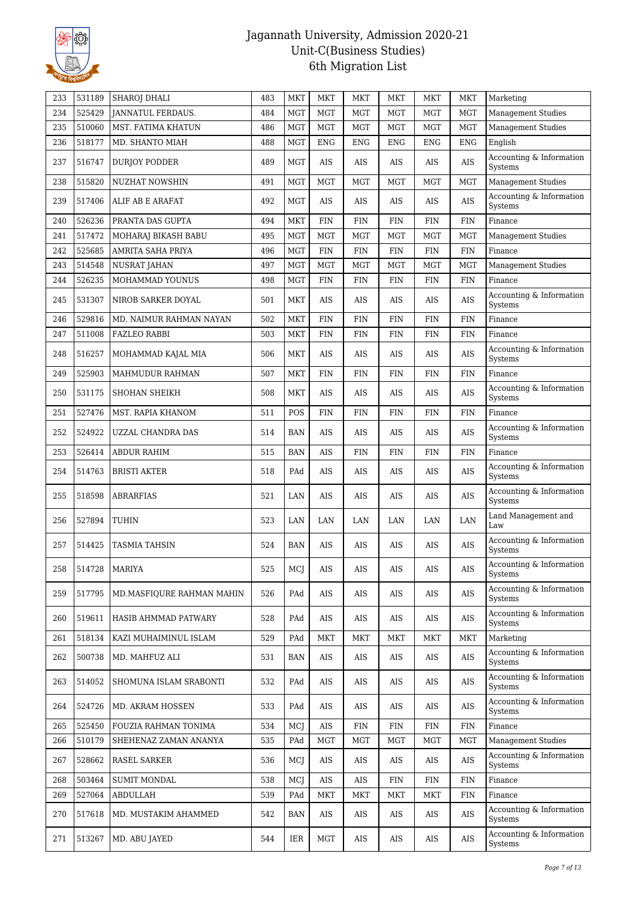

| 233 | 531189 | SHAROJ DHALI              | 483 | MKT        | <b>MKT</b> | MKT        | <b>MKT</b> | <b>MKT</b> | <b>MKT</b> | Marketing                           |
|-----|--------|---------------------------|-----|------------|------------|------------|------------|------------|------------|-------------------------------------|
| 234 | 525429 | <b>JANNATUL FERDAUS.</b>  | 484 | <b>MGT</b> | <b>MGT</b> | <b>MGT</b> | <b>MGT</b> | <b>MGT</b> | <b>MGT</b> | Management Studies                  |
| 235 | 510060 | MST. FATIMA KHATUN        | 486 | <b>MGT</b> | <b>MGT</b> | <b>MGT</b> | <b>MGT</b> | <b>MGT</b> | <b>MGT</b> | <b>Management Studies</b>           |
| 236 | 518177 | MD. SHANTO MIAH           | 488 | <b>MGT</b> | <b>ENG</b> | <b>ENG</b> | <b>ENG</b> | <b>ENG</b> | <b>ENG</b> | English                             |
| 237 | 516747 | <b>DURJOY PODDER</b>      | 489 | <b>MGT</b> | AIS        | AIS        | AIS        | AIS        | <b>AIS</b> | Accounting & Information<br>Systems |
| 238 | 515820 | <b>NUZHAT NOWSHIN</b>     | 491 | <b>MGT</b> | <b>MGT</b> | <b>MGT</b> | <b>MGT</b> | <b>MGT</b> | <b>MGT</b> | <b>Management Studies</b>           |
| 239 | 517406 | ALIF AB E ARAFAT          | 492 | <b>MGT</b> | $\rm AIS$  | AIS        | AIS        | AIS        | <b>AIS</b> | Accounting & Information<br>Systems |
| 240 | 526236 | PRANTA DAS GUPTA          | 494 | <b>MKT</b> | FIN        | <b>FIN</b> | <b>FIN</b> | <b>FIN</b> | <b>FIN</b> | Finance                             |
| 241 | 517472 | MOHARAJ BIKASH BABU       | 495 | <b>MGT</b> | <b>MGT</b> | <b>MGT</b> | <b>MGT</b> | <b>MGT</b> | <b>MGT</b> | <b>Management Studies</b>           |
| 242 | 525685 | AMRITA SAHA PRIYA         | 496 | <b>MGT</b> | FIN        | <b>FIN</b> | <b>FIN</b> | FIN        | <b>FIN</b> | Finance                             |
| 243 | 514548 | NUSRAT JAHAN              | 497 | <b>MGT</b> | <b>MGT</b> | MGT        | <b>MGT</b> | <b>MGT</b> | <b>MGT</b> | <b>Management Studies</b>           |
| 244 | 526235 | MOHAMMAD YOUNUS           | 498 | <b>MGT</b> | FIN        | FIN        | <b>FIN</b> | FIN        | <b>FIN</b> | Finance                             |
| 245 | 531307 | NIROB SARKER DOYAL        | 501 | MKT        | AIS        | AIS        | AIS        | AIS        | <b>AIS</b> | Accounting & Information<br>Systems |
| 246 | 529816 | MD. NAIMUR RAHMAN NAYAN   | 502 | <b>MKT</b> | FIN        | <b>FIN</b> | <b>FIN</b> | <b>FIN</b> | <b>FIN</b> | Finance                             |
| 247 | 511008 | <b>FAZLEO RABBI</b>       | 503 | MKT        | FIN        | FIN        | <b>FIN</b> | FIN        | <b>FIN</b> | Finance                             |
| 248 | 516257 | MOHAMMAD KAJAL MIA        | 506 | MKT        | AIS        | AIS        | AIS        | AIS        | <b>AIS</b> | Accounting & Information<br>Systems |
| 249 | 525903 | MAHMUDUR RAHMAN           | 507 | <b>MKT</b> | <b>FIN</b> | <b>FIN</b> | <b>FIN</b> | <b>FIN</b> | <b>FIN</b> | Finance                             |
| 250 | 531175 | SHOHAN SHEIKH             | 508 | <b>MKT</b> | AIS        | AIS        | AIS        | AIS        | <b>AIS</b> | Accounting & Information<br>Systems |
| 251 | 527476 | MST. RAPIA KHANOM         | 511 | POS        | <b>FIN</b> | FIN        | <b>FIN</b> | FIN        | FIN        | Finance                             |
| 252 | 524922 | UZZAL CHANDRA DAS         | 514 | BAN        | AIS        | <b>AIS</b> | AIS        | AIS        | <b>AIS</b> | Accounting & Information<br>Systems |
| 253 | 526414 | <b>ABDUR RAHIM</b>        | 515 | BAN        | <b>AIS</b> | FIN        | <b>FIN</b> | <b>FIN</b> | <b>FIN</b> | Finance                             |
| 254 | 514763 | <b>BRISTI AKTER</b>       | 518 | PAd        | AIS        | AIS        | AIS        | AIS        | AIS        | Accounting & Information<br>Systems |
| 255 | 518598 | <b>ABRARFIAS</b>          | 521 | LAN        | AIS        | AIS        | AIS        | AIS        | <b>AIS</b> | Accounting & Information<br>Systems |
| 256 | 527894 | TUHIN                     | 523 | LAN        | LAN        | LAN        | LAN        | LAN        | LAN        | Land Management and<br>Law          |
| 257 | 514425 | <b>TASMIA TAHSIN</b>      | 524 | BAN        | AIS        | AIS        | AIS        | AIS        | <b>AIS</b> | Accounting & Information<br>Systems |
| 258 | 514728 | <b>MARIYA</b>             | 525 | MCJ        | <b>AIS</b> | $\rm{AIS}$ | <b>AIS</b> | AIS        | $\rm{AIS}$ | Accounting & Information<br>Systems |
| 259 | 517795 | MD.MASFIQURE RAHMAN MAHIN | 526 | PAd        | AIS        | AIS        | AIS        | AIS        | AIS        | Accounting & Information<br>Systems |
| 260 | 519611 | HASIB AHMMAD PATWARY      | 528 | PAd        | AIS        | AIS        | AIS        | AIS        | AIS        | Accounting & Information<br>Systems |
| 261 | 518134 | KAZI MUHAIMINUL ISLAM     | 529 | PAd        | MKT        | MKT        | MKT        | <b>MKT</b> | MKT        | Marketing                           |
| 262 | 500738 | MD. MAHFUZ ALI            | 531 | BAN        | AIS        | AIS        | AIS        | AIS        | $\rm{AIS}$ | Accounting & Information<br>Systems |
| 263 | 514052 | SHOMUNA ISLAM SRABONTI    | 532 | PAd        | AIS        | AIS        | AIS        | AIS        | AIS        | Accounting & Information<br>Systems |
| 264 | 524726 | MD. AKRAM HOSSEN          | 533 | PAd        | AIS        | AIS        | AIS        | AIS        | AIS        | Accounting & Information<br>Systems |
| 265 | 525450 | FOUZIA RAHMAN TONIMA      | 534 | MCJ        | AIS        | FIN        | <b>FIN</b> | <b>FIN</b> | <b>FIN</b> | Finance                             |
| 266 | 510179 | SHEHENAZ ZAMAN ANANYA     | 535 | PAd        | <b>MGT</b> | MGT        | <b>MGT</b> | MGT        | <b>MGT</b> | <b>Management Studies</b>           |
| 267 | 528662 | RASEL SARKER              | 536 | MCI        | AIS        | AIS        | AIS        | AIS        | AIS        | Accounting & Information<br>Systems |
| 268 | 503464 | <b>SUMIT MONDAL</b>       | 538 | MCI        | AIS        | AIS        | <b>FIN</b> | <b>FIN</b> | <b>FIN</b> | Finance                             |
| 269 | 527064 | ABDULLAH                  | 539 | PAd        | MKT        | MKT        | MKT        | MKT        | <b>FIN</b> | Finance                             |
| 270 | 517618 | MD. MUSTAKIM AHAMMED      | 542 | BAN        | AIS        | AIS        | AIS        | AIS        | AIS        | Accounting & Information<br>Systems |
| 271 | 513267 | MD. ABU JAYED             | 544 | IER        | MGT        | AIS        | AIS        | AIS        | AIS        | Accounting & Information<br>Systems |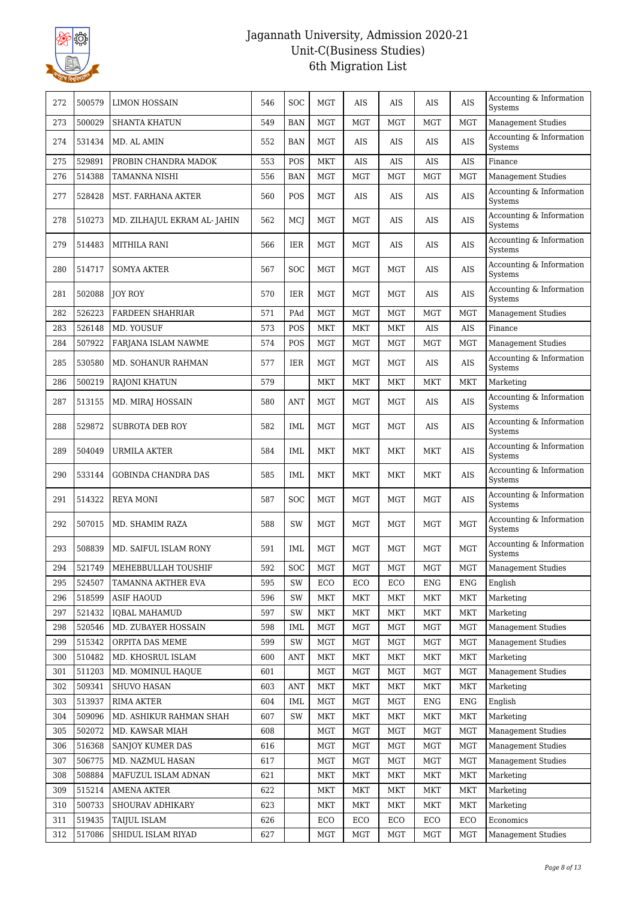

| 272 | 500579 | LIMON HOSSAIN               | 546 | <b>SOC</b>           | <b>MGT</b> | AIS        | AIS        | AIS        | AIS        | Accounting & Information<br>Systems        |
|-----|--------|-----------------------------|-----|----------------------|------------|------------|------------|------------|------------|--------------------------------------------|
| 273 | 500029 | <b>SHANTA KHATUN</b>        | 549 | <b>BAN</b>           | <b>MGT</b> | <b>MGT</b> | <b>MGT</b> | <b>MGT</b> | <b>MGT</b> | <b>Management Studies</b>                  |
| 274 | 531434 | MD. AL AMIN                 | 552 | <b>BAN</b>           | MGT        | AIS        | AIS        | AIS        | <b>AIS</b> | Accounting & Information<br>Systems        |
| 275 | 529891 | PROBIN CHANDRA MADOK        | 553 | POS                  | MKT        | AIS        | AIS        | AIS        | <b>AIS</b> | Finance                                    |
| 276 | 514388 | TAMANNA NISHI               | 556 | <b>BAN</b>           | <b>MGT</b> | <b>MGT</b> | <b>MGT</b> | <b>MGT</b> | <b>MGT</b> | <b>Management Studies</b>                  |
| 277 | 528428 | MST. FARHANA AKTER          | 560 | POS                  | MGT        | AIS        | AIS        | AIS        | <b>AIS</b> | Accounting & Information<br>Systems        |
| 278 | 510273 | MD. ZILHAJUL EKRAM AL-JAHIN | 562 | MCJ                  | MGT        | <b>MGT</b> | AIS        | <b>AIS</b> | <b>AIS</b> | Accounting & Information<br>Systems        |
| 279 | 514483 | MITHILA RANI                | 566 | IER                  | MGT        | <b>MGT</b> | AIS        | AIS        | AIS        | Accounting & Information<br>Systems        |
| 280 | 514717 | <b>SOMYA AKTER</b>          | 567 | <b>SOC</b>           | MGT        | MGT        | <b>MGT</b> | AIS        | AIS        | Accounting & Information<br>Systems        |
| 281 | 502088 | JOY ROY                     | 570 | <b>IER</b>           | <b>MGT</b> | MGT        | <b>MGT</b> | AIS        | AIS        | Accounting & Information<br>Systems        |
| 282 | 526223 | <b>FARDEEN SHAHRIAR</b>     | 571 | PAd                  | <b>MGT</b> | <b>MGT</b> | <b>MGT</b> | <b>MGT</b> | <b>MGT</b> | <b>Management Studies</b>                  |
| 283 | 526148 | MD. YOUSUF                  | 573 | POS                  | MKT        | MKT        | MKT        | AIS        | AIS        | Finance                                    |
| 284 | 507922 | FARJANA ISLAM NAWME         | 574 | POS                  | <b>MGT</b> | <b>MGT</b> | <b>MGT</b> | <b>MGT</b> | <b>MGT</b> | <b>Management Studies</b>                  |
| 285 | 530580 | MD. SOHANUR RAHMAN          | 577 | <b>IER</b>           | <b>MGT</b> | <b>MGT</b> | <b>MGT</b> | AIS        | AIS        | Accounting & Information<br>Systems        |
| 286 | 500219 | RAJONI KHATUN               | 579 |                      | MKT        | MKT        | MKT        | MKT        | <b>MKT</b> | Marketing                                  |
| 287 | 513155 | MD. MIRAJ HOSSAIN           | 580 | ANT                  | MGT        | MGT        | <b>MGT</b> | AIS        | <b>AIS</b> | Accounting & Information<br>Systems        |
| 288 | 529872 | <b>SUBROTA DEB ROY</b>      | 582 | IML                  | MGT        | MGT        | <b>MGT</b> | AIS        | AIS        | Accounting & Information<br>Systems        |
| 289 | 504049 | URMILA AKTER                | 584 | IML                  | MKT        | <b>MKT</b> | MKT        | MKT        | AIS        | Accounting & Information<br>Systems        |
| 290 | 533144 | <b>GOBINDA CHANDRA DAS</b>  | 585 | IML                  | MKT        | <b>MKT</b> | MKT        | MKT        | <b>AIS</b> | Accounting & Information<br>Systems        |
| 291 | 514322 | REYA MONI                   | 587 | <b>SOC</b>           | MGT        | MGT        | MGT        | MGT        | <b>AIS</b> | Accounting & Information<br>Systems        |
| 292 | 507015 | MD. SHAMIM RAZA             | 588 | SW                   | MGT        | MGT        | <b>MGT</b> | MGT        | <b>MGT</b> | Accounting & Information<br><b>Systems</b> |
| 293 | 508839 | MD. SAIFUL ISLAM RONY       | 591 | IML                  | <b>MGT</b> | <b>MGT</b> | <b>MGT</b> | MGT        | <b>MGT</b> | Accounting & Information<br>Systems        |
| 294 | 521749 | MEHEBBULLAH TOUSHIF         | 592 | $\operatorname{SOC}$ | $\rm{MGT}$ | $\rm MGT$  | <b>MGT</b> | MGT        | $\rm MGT$  | <b>Management Studies</b>                  |
| 295 | 524507 | TAMANNA AKTHER EVA          | 595 | SW                   | ECO        | ECO        | ECO        | ENG        | ENG        | English                                    |
| 296 | 518599 | <b>ASIF HAOUD</b>           | 596 | SW                   | <b>MKT</b> | <b>MKT</b> | <b>MKT</b> | <b>MKT</b> | <b>MKT</b> | Marketing                                  |
| 297 | 521432 | <b>IQBAL MAHAMUD</b>        | 597 | SW                   | <b>MKT</b> | <b>MKT</b> | <b>MKT</b> | <b>MKT</b> | <b>MKT</b> | Marketing                                  |
| 298 | 520546 | MD. ZUBAYER HOSSAIN         | 598 | IML                  | <b>MGT</b> | <b>MGT</b> | <b>MGT</b> | <b>MGT</b> | <b>MGT</b> | <b>Management Studies</b>                  |
| 299 | 515342 | ORPITA DAS MEME             | 599 | SW                   | <b>MGT</b> | <b>MGT</b> | <b>MGT</b> | <b>MGT</b> | <b>MGT</b> | <b>Management Studies</b>                  |
| 300 | 510482 | MD. KHOSRUL ISLAM           | 600 | <b>ANT</b>           | <b>MKT</b> | <b>MKT</b> | <b>MKT</b> | <b>MKT</b> | <b>MKT</b> | Marketing                                  |
| 301 | 511203 | MD. MOMINUL HAQUE           | 601 |                      | <b>MGT</b> | <b>MGT</b> | <b>MGT</b> | <b>MGT</b> | <b>MGT</b> | <b>Management Studies</b>                  |
| 302 | 509341 | <b>SHUVO HASAN</b>          | 603 | ANT                  | MKT        | MKT        | MKT        | MKT        | MKT        | Marketing                                  |
| 303 | 513937 | <b>RIMA AKTER</b>           | 604 | IML                  | <b>MGT</b> | <b>MGT</b> | <b>MGT</b> | <b>ENG</b> | <b>ENG</b> | English                                    |
| 304 | 509096 | MD. ASHIKUR RAHMAN SHAH     | 607 | SW                   | <b>MKT</b> | <b>MKT</b> | <b>MKT</b> | <b>MKT</b> | <b>MKT</b> | Marketing                                  |
| 305 | 502072 | MD. KAWSAR MIAH             | 608 |                      | <b>MGT</b> | <b>MGT</b> | <b>MGT</b> | <b>MGT</b> | <b>MGT</b> | <b>Management Studies</b>                  |
| 306 | 516368 | SANJOY KUMER DAS            | 616 |                      | MGT        | MGT        | <b>MGT</b> | <b>MGT</b> | <b>MGT</b> | Management Studies                         |
| 307 | 506775 | MD. NAZMUL HASAN            | 617 |                      | <b>MGT</b> | <b>MGT</b> | <b>MGT</b> | <b>MGT</b> | <b>MGT</b> | <b>Management Studies</b>                  |
| 308 | 508884 | MAFUZUL ISLAM ADNAN         | 621 |                      | <b>MKT</b> | MKT        | MKT        | <b>MKT</b> | <b>MKT</b> | Marketing                                  |
| 309 | 515214 | AMENA AKTER                 | 622 |                      | <b>MKT</b> | <b>MKT</b> | <b>MKT</b> | <b>MKT</b> | <b>MKT</b> | Marketing                                  |
| 310 | 500733 | SHOURAV ADHIKARY            | 623 |                      | <b>MKT</b> | <b>MKT</b> | <b>MKT</b> | <b>MKT</b> | <b>MKT</b> | Marketing                                  |
| 311 | 519435 | <b>TAIJUL ISLAM</b>         | 626 |                      | ECO        | ECO        | ECO        | ECO        | ECO        |                                            |
| 312 | 517086 | SHIDUL ISLAM RIYAD          | 627 |                      | <b>MGT</b> | <b>MGT</b> | <b>MGT</b> | <b>MGT</b> | <b>MGT</b> | <b>Management Studies</b>                  |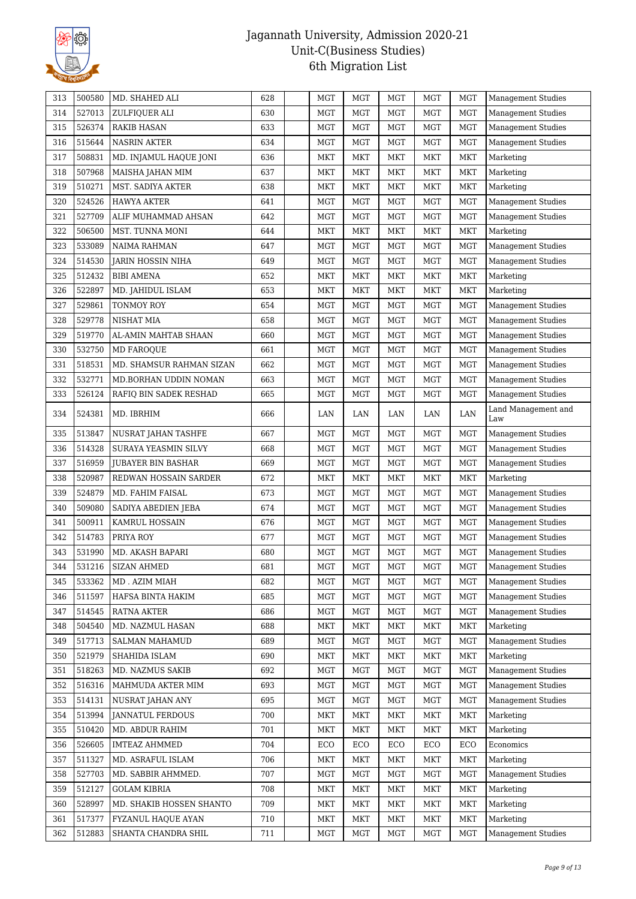

| 314<br>527013<br>ZULFIQUER ALI<br>630<br>MGT<br><b>MGT</b><br>MGT<br><b>MGT</b><br>Management Studies<br>MGT<br>526374<br><b>RAKIB HASAN</b><br>633<br>MGT<br><b>MGT</b><br><b>MGT</b><br><b>MGT</b><br>Management Studies<br>315<br>MGT<br>316<br>515644<br><b>NASRIN AKTER</b><br>634<br><b>MGT</b><br><b>MGT</b><br><b>MGT</b><br><b>MGT</b><br>MGT<br><b>Management Studies</b><br>508831<br>317<br>MD. INJAMUL HAQUE JONI<br>636<br><b>MKT</b><br><b>MKT</b><br><b>MKT</b><br><b>MKT</b><br>MKT<br>Marketing<br>507968<br>637<br><b>MKT</b><br><b>MKT</b><br>MKT<br><b>MKT</b><br><b>MKT</b><br>318<br>MAISHA JAHAN MIM<br>Marketing<br>319<br>510271<br>MST. SADIYA AKTER<br>638<br><b>MKT</b><br><b>MKT</b><br><b>MKT</b><br><b>MKT</b><br><b>MKT</b><br>Marketing<br>320<br>524526<br><b>HAWYA AKTER</b><br>641<br><b>MGT</b><br><b>MGT</b><br><b>MGT</b><br><b>MGT</b><br><b>MGT</b><br><b>Management Studies</b><br>527709<br>642<br>MGT<br>321<br><b>MGT</b><br><b>MGT</b><br><b>MGT</b><br><b>MGT</b><br><b>Management Studies</b><br>ALIF MUHAMMAD AHSAN<br>506500<br><b>MKT</b><br>322<br>MST. TUNNA MONI<br>644<br>MKT<br>MKT<br>MKT<br>MKT<br>Marketing<br>533089<br>Management Studies<br>323<br><b>NAIMA RAHMAN</b><br>647<br><b>MGT</b><br>MGT<br><b>MGT</b><br><b>MGT</b><br><b>MGT</b><br>MGT<br>324<br>514530<br>649<br><b>MGT</b><br><b>MGT</b><br>MGT<br><b>MGT</b><br>Management Studies<br>JARIN HOSSIN NIHA<br>512432<br>652<br><b>MKT</b><br><b>MKT</b><br><b>MKT</b><br>325<br><b>BIBI AMENA</b><br>MKT<br>MKT<br>Marketing<br>522897<br>326<br>MD. JAHIDUL ISLAM<br>653<br><b>MKT</b><br><b>MKT</b><br><b>MKT</b><br><b>MKT</b><br><b>MKT</b><br>Marketing<br>327<br>529861<br>TONMOY ROY<br>654<br><b>MGT</b><br><b>MGT</b><br><b>MGT</b><br><b>MGT</b><br><b>MGT</b><br>Management Studies<br>328<br>529778<br>658<br><b>MGT</b><br><b>MGT</b><br><b>MGT</b><br><b>MGT</b><br>NISHAT MIA<br>MGT<br><b>Management Studies</b><br>519770<br>329<br>660<br><b>MGT</b><br><b>MGT</b><br><b>MGT</b><br><b>MGT</b><br><b>Management Studies</b><br>AL-AMIN MAHTAB SHAAN<br>MGT<br>532750<br><b>MGT</b><br>330<br><b>MD FAROQUE</b><br>661<br><b>MGT</b><br><b>MGT</b><br>MGT<br><b>MGT</b><br><b>Management Studies</b><br>331<br>518531<br>MD. SHAMSUR RAHMAN SIZAN<br>662<br><b>MGT</b><br>MGT<br><b>MGT</b><br><b>MGT</b><br><b>MGT</b><br><b>Management Studies</b><br>532771<br>332<br>663<br><b>MGT</b><br><b>MGT</b><br><b>MGT</b><br><b>MGT</b><br><b>MGT</b><br><b>Management Studies</b><br>MD.BORHAN UDDIN NOMAN<br>333<br>526124<br>665<br>MGT<br><b>MGT</b><br>MGT<br><b>Management Studies</b><br>RAFIQ BIN SADEK RESHAD<br>MGT<br>MGT<br>Land Management and<br>334<br>524381<br>666<br>LAN<br>MD. IBRHIM<br>LAN<br>LAN<br>LAN<br>LAN<br>Law<br>513847<br>MGT<br>335<br>667<br><b>MGT</b><br><b>MGT</b><br>MGT<br><b>MGT</b><br><b>Management Studies</b><br>NUSRAT JAHAN TASHFE<br>514328<br><b>MGT</b><br><b>MGT</b><br><b>Management Studies</b><br>336<br>SURAYA YEASMIN SILVY<br>668<br>MGT<br>MGT<br>MGT<br>337<br>516959<br>669<br><b>MGT</b><br><b>MGT</b><br><b>MGT</b><br><b>MGT</b><br><b>Management Studies</b><br>JUBAYER BIN BASHAR<br>MGT<br>338<br>520987<br>672<br><b>MKT</b><br><b>MKT</b><br>MKT<br><b>MKT</b><br><b>MKT</b><br>REDWAN HOSSAIN SARDER<br>Marketing<br>339<br>524879<br>673<br><b>MGT</b><br>MGT<br><b>MGT</b><br><b>MGT</b><br><b>MGT</b><br><b>Management Studies</b><br>MD. FAHIM FAISAL<br>340<br>509080<br>674<br><b>MGT</b><br><b>MGT</b><br><b>MGT</b><br><b>MGT</b><br><b>MGT</b><br><b>Management Studies</b><br>SADIYA ABEDIEN JEBA<br>500911<br><b>MGT</b><br><b>MGT</b><br>MGT<br><b>MGT</b><br><b>Management Studies</b><br>341<br>KAMRUL HOSSAIN<br>676<br>MGT<br>342<br>514783<br>677<br><b>MGT</b><br>MGT<br><b>MGT</b><br><b>MGT</b><br><b>MGT</b><br>PRIYA ROY<br><b>Management Studies</b><br>343<br><b>MGT</b><br>531990<br>MD. AKASH BAPARI<br>680<br><b>MGT</b><br><b>MGT</b><br><b>MGT</b><br>MGT<br>Management Studies<br>531216<br>344<br><b>SIZAN AHMED</b><br>681<br>$_{\rm MGT}$<br>$_{\rm MGT}$<br>$\rm MGT$<br>$_{\rm MGT}$<br>$_{\rm MGT}$<br>Management Studies<br>533362<br>MD . AZIM MIAH<br>682<br>MGT<br>MGT<br>MGT<br>MGT<br>MGT<br><b>Management Studies</b><br>345<br>511597<br>HAFSA BINTA HAKIM<br>685<br>MGT<br>MGT<br><b>MGT</b><br><b>MGT</b><br><b>MGT</b><br><b>Management Studies</b><br>346<br>347<br>514545<br><b>RATNA AKTER</b><br>686<br><b>MGT</b><br>MGT<br><b>MGT</b><br><b>MGT</b><br><b>MGT</b><br>Management Studies<br>504540<br>688<br>348<br>MD. NAZMUL HASAN<br><b>MKT</b><br><b>MKT</b><br><b>MKT</b><br><b>MKT</b><br>Marketing<br>MKT<br>517713<br><b>SALMAN MAHAMUD</b><br>689<br><b>MGT</b><br><b>MGT</b><br><b>MGT</b><br><b>MGT</b><br><b>MGT</b><br><b>Management Studies</b><br>349<br>521979<br>SHAHIDA ISLAM<br>690<br>350<br>MKT<br>MKT<br>MKT<br>MKT<br>MKT<br>Marketing<br>Management Studies<br>351<br>518263<br>MD. NAZMUS SAKIB<br>692<br><b>MGT</b><br>MGT<br><b>MGT</b><br><b>MGT</b><br><b>MGT</b><br>516316<br>693<br><b>Management Studies</b><br>352<br>MAHMUDA AKTER MIM<br>MGT<br>MGT<br>MGT<br>MGT<br>MGT<br>514131<br>353<br>NUSRAT JAHAN ANY<br>695<br><b>MGT</b><br>MGT<br><b>MGT</b><br><b>MGT</b><br><b>MGT</b><br><b>Management Studies</b> | 313 | 500580 | MD. SHAHED ALI          | 628 | <b>MGT</b> | <b>MGT</b> | <b>MGT</b> | <b>MGT</b> | <b>MGT</b> | Management Studies |
|----------------------------------------------------------------------------------------------------------------------------------------------------------------------------------------------------------------------------------------------------------------------------------------------------------------------------------------------------------------------------------------------------------------------------------------------------------------------------------------------------------------------------------------------------------------------------------------------------------------------------------------------------------------------------------------------------------------------------------------------------------------------------------------------------------------------------------------------------------------------------------------------------------------------------------------------------------------------------------------------------------------------------------------------------------------------------------------------------------------------------------------------------------------------------------------------------------------------------------------------------------------------------------------------------------------------------------------------------------------------------------------------------------------------------------------------------------------------------------------------------------------------------------------------------------------------------------------------------------------------------------------------------------------------------------------------------------------------------------------------------------------------------------------------------------------------------------------------------------------------------------------------------------------------------------------------------------------------------------------------------------------------------------------------------------------------------------------------------------------------------------------------------------------------------------------------------------------------------------------------------------------------------------------------------------------------------------------------------------------------------------------------------------------------------------------------------------------------------------------------------------------------------------------------------------------------------------------------------------------------------------------------------------------------------------------------------------------------------------------------------------------------------------------------------------------------------------------------------------------------------------------------------------------------------------------------------------------------------------------------------------------------------------------------------------------------------------------------------------------------------------------------------------------------------------------------------------------------------------------------------------------------------------------------------------------------------------------------------------------------------------------------------------------------------------------------------------------------------------------------------------------------------------------------------------------------------------------------------------------------------------------------------------------------------------------------------------------------------------------------------------------------------------------------------------------------------------------------------------------------------------------------------------------------------------------------------------------------------------------------------------------------------------------------------------------------------------------------------------------------------------------------------------------------------------------------------------------------------------------------------------------------------------------------------------------------------------------------------------------------------------------------------------------------------------------------------------------------------------------------------------------------------------------------------------------------------------------------------------------------------------------------------------------------------------------------------------------------------------------------------------------------------------------------------------------------------------------------------------------------------------------------------------------------------------------------------------------------------------------------------------------------------------------------------------------------------------------------------------------------------------------------------------------------------------------------------------------------------------------------------------------------------------------------------------------------|-----|--------|-------------------------|-----|------------|------------|------------|------------|------------|--------------------|
|                                                                                                                                                                                                                                                                                                                                                                                                                                                                                                                                                                                                                                                                                                                                                                                                                                                                                                                                                                                                                                                                                                                                                                                                                                                                                                                                                                                                                                                                                                                                                                                                                                                                                                                                                                                                                                                                                                                                                                                                                                                                                                                                                                                                                                                                                                                                                                                                                                                                                                                                                                                                                                                                                                                                                                                                                                                                                                                                                                                                                                                                                                                                                                                                                                                                                                                                                                                                                                                                                                                                                                                                                                                                                                                                                                                                                                                                                                                                                                                                                                                                                                                                                                                                                                                                                                                                                                                                                                                                                                                                                                                                                                                                                                                                                                                                                                                                                                                                                                                                                                                                                                                                                                                                                                                                                                                      |     |        |                         |     |            |            |            |            |            |                    |
|                                                                                                                                                                                                                                                                                                                                                                                                                                                                                                                                                                                                                                                                                                                                                                                                                                                                                                                                                                                                                                                                                                                                                                                                                                                                                                                                                                                                                                                                                                                                                                                                                                                                                                                                                                                                                                                                                                                                                                                                                                                                                                                                                                                                                                                                                                                                                                                                                                                                                                                                                                                                                                                                                                                                                                                                                                                                                                                                                                                                                                                                                                                                                                                                                                                                                                                                                                                                                                                                                                                                                                                                                                                                                                                                                                                                                                                                                                                                                                                                                                                                                                                                                                                                                                                                                                                                                                                                                                                                                                                                                                                                                                                                                                                                                                                                                                                                                                                                                                                                                                                                                                                                                                                                                                                                                                                      |     |        |                         |     |            |            |            |            |            |                    |
|                                                                                                                                                                                                                                                                                                                                                                                                                                                                                                                                                                                                                                                                                                                                                                                                                                                                                                                                                                                                                                                                                                                                                                                                                                                                                                                                                                                                                                                                                                                                                                                                                                                                                                                                                                                                                                                                                                                                                                                                                                                                                                                                                                                                                                                                                                                                                                                                                                                                                                                                                                                                                                                                                                                                                                                                                                                                                                                                                                                                                                                                                                                                                                                                                                                                                                                                                                                                                                                                                                                                                                                                                                                                                                                                                                                                                                                                                                                                                                                                                                                                                                                                                                                                                                                                                                                                                                                                                                                                                                                                                                                                                                                                                                                                                                                                                                                                                                                                                                                                                                                                                                                                                                                                                                                                                                                      |     |        |                         |     |            |            |            |            |            |                    |
|                                                                                                                                                                                                                                                                                                                                                                                                                                                                                                                                                                                                                                                                                                                                                                                                                                                                                                                                                                                                                                                                                                                                                                                                                                                                                                                                                                                                                                                                                                                                                                                                                                                                                                                                                                                                                                                                                                                                                                                                                                                                                                                                                                                                                                                                                                                                                                                                                                                                                                                                                                                                                                                                                                                                                                                                                                                                                                                                                                                                                                                                                                                                                                                                                                                                                                                                                                                                                                                                                                                                                                                                                                                                                                                                                                                                                                                                                                                                                                                                                                                                                                                                                                                                                                                                                                                                                                                                                                                                                                                                                                                                                                                                                                                                                                                                                                                                                                                                                                                                                                                                                                                                                                                                                                                                                                                      |     |        |                         |     |            |            |            |            |            |                    |
|                                                                                                                                                                                                                                                                                                                                                                                                                                                                                                                                                                                                                                                                                                                                                                                                                                                                                                                                                                                                                                                                                                                                                                                                                                                                                                                                                                                                                                                                                                                                                                                                                                                                                                                                                                                                                                                                                                                                                                                                                                                                                                                                                                                                                                                                                                                                                                                                                                                                                                                                                                                                                                                                                                                                                                                                                                                                                                                                                                                                                                                                                                                                                                                                                                                                                                                                                                                                                                                                                                                                                                                                                                                                                                                                                                                                                                                                                                                                                                                                                                                                                                                                                                                                                                                                                                                                                                                                                                                                                                                                                                                                                                                                                                                                                                                                                                                                                                                                                                                                                                                                                                                                                                                                                                                                                                                      |     |        |                         |     |            |            |            |            |            |                    |
|                                                                                                                                                                                                                                                                                                                                                                                                                                                                                                                                                                                                                                                                                                                                                                                                                                                                                                                                                                                                                                                                                                                                                                                                                                                                                                                                                                                                                                                                                                                                                                                                                                                                                                                                                                                                                                                                                                                                                                                                                                                                                                                                                                                                                                                                                                                                                                                                                                                                                                                                                                                                                                                                                                                                                                                                                                                                                                                                                                                                                                                                                                                                                                                                                                                                                                                                                                                                                                                                                                                                                                                                                                                                                                                                                                                                                                                                                                                                                                                                                                                                                                                                                                                                                                                                                                                                                                                                                                                                                                                                                                                                                                                                                                                                                                                                                                                                                                                                                                                                                                                                                                                                                                                                                                                                                                                      |     |        |                         |     |            |            |            |            |            |                    |
|                                                                                                                                                                                                                                                                                                                                                                                                                                                                                                                                                                                                                                                                                                                                                                                                                                                                                                                                                                                                                                                                                                                                                                                                                                                                                                                                                                                                                                                                                                                                                                                                                                                                                                                                                                                                                                                                                                                                                                                                                                                                                                                                                                                                                                                                                                                                                                                                                                                                                                                                                                                                                                                                                                                                                                                                                                                                                                                                                                                                                                                                                                                                                                                                                                                                                                                                                                                                                                                                                                                                                                                                                                                                                                                                                                                                                                                                                                                                                                                                                                                                                                                                                                                                                                                                                                                                                                                                                                                                                                                                                                                                                                                                                                                                                                                                                                                                                                                                                                                                                                                                                                                                                                                                                                                                                                                      |     |        |                         |     |            |            |            |            |            |                    |
|                                                                                                                                                                                                                                                                                                                                                                                                                                                                                                                                                                                                                                                                                                                                                                                                                                                                                                                                                                                                                                                                                                                                                                                                                                                                                                                                                                                                                                                                                                                                                                                                                                                                                                                                                                                                                                                                                                                                                                                                                                                                                                                                                                                                                                                                                                                                                                                                                                                                                                                                                                                                                                                                                                                                                                                                                                                                                                                                                                                                                                                                                                                                                                                                                                                                                                                                                                                                                                                                                                                                                                                                                                                                                                                                                                                                                                                                                                                                                                                                                                                                                                                                                                                                                                                                                                                                                                                                                                                                                                                                                                                                                                                                                                                                                                                                                                                                                                                                                                                                                                                                                                                                                                                                                                                                                                                      |     |        |                         |     |            |            |            |            |            |                    |
|                                                                                                                                                                                                                                                                                                                                                                                                                                                                                                                                                                                                                                                                                                                                                                                                                                                                                                                                                                                                                                                                                                                                                                                                                                                                                                                                                                                                                                                                                                                                                                                                                                                                                                                                                                                                                                                                                                                                                                                                                                                                                                                                                                                                                                                                                                                                                                                                                                                                                                                                                                                                                                                                                                                                                                                                                                                                                                                                                                                                                                                                                                                                                                                                                                                                                                                                                                                                                                                                                                                                                                                                                                                                                                                                                                                                                                                                                                                                                                                                                                                                                                                                                                                                                                                                                                                                                                                                                                                                                                                                                                                                                                                                                                                                                                                                                                                                                                                                                                                                                                                                                                                                                                                                                                                                                                                      |     |        |                         |     |            |            |            |            |            |                    |
|                                                                                                                                                                                                                                                                                                                                                                                                                                                                                                                                                                                                                                                                                                                                                                                                                                                                                                                                                                                                                                                                                                                                                                                                                                                                                                                                                                                                                                                                                                                                                                                                                                                                                                                                                                                                                                                                                                                                                                                                                                                                                                                                                                                                                                                                                                                                                                                                                                                                                                                                                                                                                                                                                                                                                                                                                                                                                                                                                                                                                                                                                                                                                                                                                                                                                                                                                                                                                                                                                                                                                                                                                                                                                                                                                                                                                                                                                                                                                                                                                                                                                                                                                                                                                                                                                                                                                                                                                                                                                                                                                                                                                                                                                                                                                                                                                                                                                                                                                                                                                                                                                                                                                                                                                                                                                                                      |     |        |                         |     |            |            |            |            |            |                    |
|                                                                                                                                                                                                                                                                                                                                                                                                                                                                                                                                                                                                                                                                                                                                                                                                                                                                                                                                                                                                                                                                                                                                                                                                                                                                                                                                                                                                                                                                                                                                                                                                                                                                                                                                                                                                                                                                                                                                                                                                                                                                                                                                                                                                                                                                                                                                                                                                                                                                                                                                                                                                                                                                                                                                                                                                                                                                                                                                                                                                                                                                                                                                                                                                                                                                                                                                                                                                                                                                                                                                                                                                                                                                                                                                                                                                                                                                                                                                                                                                                                                                                                                                                                                                                                                                                                                                                                                                                                                                                                                                                                                                                                                                                                                                                                                                                                                                                                                                                                                                                                                                                                                                                                                                                                                                                                                      |     |        |                         |     |            |            |            |            |            |                    |
|                                                                                                                                                                                                                                                                                                                                                                                                                                                                                                                                                                                                                                                                                                                                                                                                                                                                                                                                                                                                                                                                                                                                                                                                                                                                                                                                                                                                                                                                                                                                                                                                                                                                                                                                                                                                                                                                                                                                                                                                                                                                                                                                                                                                                                                                                                                                                                                                                                                                                                                                                                                                                                                                                                                                                                                                                                                                                                                                                                                                                                                                                                                                                                                                                                                                                                                                                                                                                                                                                                                                                                                                                                                                                                                                                                                                                                                                                                                                                                                                                                                                                                                                                                                                                                                                                                                                                                                                                                                                                                                                                                                                                                                                                                                                                                                                                                                                                                                                                                                                                                                                                                                                                                                                                                                                                                                      |     |        |                         |     |            |            |            |            |            |                    |
|                                                                                                                                                                                                                                                                                                                                                                                                                                                                                                                                                                                                                                                                                                                                                                                                                                                                                                                                                                                                                                                                                                                                                                                                                                                                                                                                                                                                                                                                                                                                                                                                                                                                                                                                                                                                                                                                                                                                                                                                                                                                                                                                                                                                                                                                                                                                                                                                                                                                                                                                                                                                                                                                                                                                                                                                                                                                                                                                                                                                                                                                                                                                                                                                                                                                                                                                                                                                                                                                                                                                                                                                                                                                                                                                                                                                                                                                                                                                                                                                                                                                                                                                                                                                                                                                                                                                                                                                                                                                                                                                                                                                                                                                                                                                                                                                                                                                                                                                                                                                                                                                                                                                                                                                                                                                                                                      |     |        |                         |     |            |            |            |            |            |                    |
|                                                                                                                                                                                                                                                                                                                                                                                                                                                                                                                                                                                                                                                                                                                                                                                                                                                                                                                                                                                                                                                                                                                                                                                                                                                                                                                                                                                                                                                                                                                                                                                                                                                                                                                                                                                                                                                                                                                                                                                                                                                                                                                                                                                                                                                                                                                                                                                                                                                                                                                                                                                                                                                                                                                                                                                                                                                                                                                                                                                                                                                                                                                                                                                                                                                                                                                                                                                                                                                                                                                                                                                                                                                                                                                                                                                                                                                                                                                                                                                                                                                                                                                                                                                                                                                                                                                                                                                                                                                                                                                                                                                                                                                                                                                                                                                                                                                                                                                                                                                                                                                                                                                                                                                                                                                                                                                      |     |        |                         |     |            |            |            |            |            |                    |
|                                                                                                                                                                                                                                                                                                                                                                                                                                                                                                                                                                                                                                                                                                                                                                                                                                                                                                                                                                                                                                                                                                                                                                                                                                                                                                                                                                                                                                                                                                                                                                                                                                                                                                                                                                                                                                                                                                                                                                                                                                                                                                                                                                                                                                                                                                                                                                                                                                                                                                                                                                                                                                                                                                                                                                                                                                                                                                                                                                                                                                                                                                                                                                                                                                                                                                                                                                                                                                                                                                                                                                                                                                                                                                                                                                                                                                                                                                                                                                                                                                                                                                                                                                                                                                                                                                                                                                                                                                                                                                                                                                                                                                                                                                                                                                                                                                                                                                                                                                                                                                                                                                                                                                                                                                                                                                                      |     |        |                         |     |            |            |            |            |            |                    |
|                                                                                                                                                                                                                                                                                                                                                                                                                                                                                                                                                                                                                                                                                                                                                                                                                                                                                                                                                                                                                                                                                                                                                                                                                                                                                                                                                                                                                                                                                                                                                                                                                                                                                                                                                                                                                                                                                                                                                                                                                                                                                                                                                                                                                                                                                                                                                                                                                                                                                                                                                                                                                                                                                                                                                                                                                                                                                                                                                                                                                                                                                                                                                                                                                                                                                                                                                                                                                                                                                                                                                                                                                                                                                                                                                                                                                                                                                                                                                                                                                                                                                                                                                                                                                                                                                                                                                                                                                                                                                                                                                                                                                                                                                                                                                                                                                                                                                                                                                                                                                                                                                                                                                                                                                                                                                                                      |     |        |                         |     |            |            |            |            |            |                    |
|                                                                                                                                                                                                                                                                                                                                                                                                                                                                                                                                                                                                                                                                                                                                                                                                                                                                                                                                                                                                                                                                                                                                                                                                                                                                                                                                                                                                                                                                                                                                                                                                                                                                                                                                                                                                                                                                                                                                                                                                                                                                                                                                                                                                                                                                                                                                                                                                                                                                                                                                                                                                                                                                                                                                                                                                                                                                                                                                                                                                                                                                                                                                                                                                                                                                                                                                                                                                                                                                                                                                                                                                                                                                                                                                                                                                                                                                                                                                                                                                                                                                                                                                                                                                                                                                                                                                                                                                                                                                                                                                                                                                                                                                                                                                                                                                                                                                                                                                                                                                                                                                                                                                                                                                                                                                                                                      |     |        |                         |     |            |            |            |            |            |                    |
|                                                                                                                                                                                                                                                                                                                                                                                                                                                                                                                                                                                                                                                                                                                                                                                                                                                                                                                                                                                                                                                                                                                                                                                                                                                                                                                                                                                                                                                                                                                                                                                                                                                                                                                                                                                                                                                                                                                                                                                                                                                                                                                                                                                                                                                                                                                                                                                                                                                                                                                                                                                                                                                                                                                                                                                                                                                                                                                                                                                                                                                                                                                                                                                                                                                                                                                                                                                                                                                                                                                                                                                                                                                                                                                                                                                                                                                                                                                                                                                                                                                                                                                                                                                                                                                                                                                                                                                                                                                                                                                                                                                                                                                                                                                                                                                                                                                                                                                                                                                                                                                                                                                                                                                                                                                                                                                      |     |        |                         |     |            |            |            |            |            |                    |
|                                                                                                                                                                                                                                                                                                                                                                                                                                                                                                                                                                                                                                                                                                                                                                                                                                                                                                                                                                                                                                                                                                                                                                                                                                                                                                                                                                                                                                                                                                                                                                                                                                                                                                                                                                                                                                                                                                                                                                                                                                                                                                                                                                                                                                                                                                                                                                                                                                                                                                                                                                                                                                                                                                                                                                                                                                                                                                                                                                                                                                                                                                                                                                                                                                                                                                                                                                                                                                                                                                                                                                                                                                                                                                                                                                                                                                                                                                                                                                                                                                                                                                                                                                                                                                                                                                                                                                                                                                                                                                                                                                                                                                                                                                                                                                                                                                                                                                                                                                                                                                                                                                                                                                                                                                                                                                                      |     |        |                         |     |            |            |            |            |            |                    |
|                                                                                                                                                                                                                                                                                                                                                                                                                                                                                                                                                                                                                                                                                                                                                                                                                                                                                                                                                                                                                                                                                                                                                                                                                                                                                                                                                                                                                                                                                                                                                                                                                                                                                                                                                                                                                                                                                                                                                                                                                                                                                                                                                                                                                                                                                                                                                                                                                                                                                                                                                                                                                                                                                                                                                                                                                                                                                                                                                                                                                                                                                                                                                                                                                                                                                                                                                                                                                                                                                                                                                                                                                                                                                                                                                                                                                                                                                                                                                                                                                                                                                                                                                                                                                                                                                                                                                                                                                                                                                                                                                                                                                                                                                                                                                                                                                                                                                                                                                                                                                                                                                                                                                                                                                                                                                                                      |     |        |                         |     |            |            |            |            |            |                    |
|                                                                                                                                                                                                                                                                                                                                                                                                                                                                                                                                                                                                                                                                                                                                                                                                                                                                                                                                                                                                                                                                                                                                                                                                                                                                                                                                                                                                                                                                                                                                                                                                                                                                                                                                                                                                                                                                                                                                                                                                                                                                                                                                                                                                                                                                                                                                                                                                                                                                                                                                                                                                                                                                                                                                                                                                                                                                                                                                                                                                                                                                                                                                                                                                                                                                                                                                                                                                                                                                                                                                                                                                                                                                                                                                                                                                                                                                                                                                                                                                                                                                                                                                                                                                                                                                                                                                                                                                                                                                                                                                                                                                                                                                                                                                                                                                                                                                                                                                                                                                                                                                                                                                                                                                                                                                                                                      |     |        |                         |     |            |            |            |            |            |                    |
|                                                                                                                                                                                                                                                                                                                                                                                                                                                                                                                                                                                                                                                                                                                                                                                                                                                                                                                                                                                                                                                                                                                                                                                                                                                                                                                                                                                                                                                                                                                                                                                                                                                                                                                                                                                                                                                                                                                                                                                                                                                                                                                                                                                                                                                                                                                                                                                                                                                                                                                                                                                                                                                                                                                                                                                                                                                                                                                                                                                                                                                                                                                                                                                                                                                                                                                                                                                                                                                                                                                                                                                                                                                                                                                                                                                                                                                                                                                                                                                                                                                                                                                                                                                                                                                                                                                                                                                                                                                                                                                                                                                                                                                                                                                                                                                                                                                                                                                                                                                                                                                                                                                                                                                                                                                                                                                      |     |        |                         |     |            |            |            |            |            |                    |
|                                                                                                                                                                                                                                                                                                                                                                                                                                                                                                                                                                                                                                                                                                                                                                                                                                                                                                                                                                                                                                                                                                                                                                                                                                                                                                                                                                                                                                                                                                                                                                                                                                                                                                                                                                                                                                                                                                                                                                                                                                                                                                                                                                                                                                                                                                                                                                                                                                                                                                                                                                                                                                                                                                                                                                                                                                                                                                                                                                                                                                                                                                                                                                                                                                                                                                                                                                                                                                                                                                                                                                                                                                                                                                                                                                                                                                                                                                                                                                                                                                                                                                                                                                                                                                                                                                                                                                                                                                                                                                                                                                                                                                                                                                                                                                                                                                                                                                                                                                                                                                                                                                                                                                                                                                                                                                                      |     |        |                         |     |            |            |            |            |            |                    |
|                                                                                                                                                                                                                                                                                                                                                                                                                                                                                                                                                                                                                                                                                                                                                                                                                                                                                                                                                                                                                                                                                                                                                                                                                                                                                                                                                                                                                                                                                                                                                                                                                                                                                                                                                                                                                                                                                                                                                                                                                                                                                                                                                                                                                                                                                                                                                                                                                                                                                                                                                                                                                                                                                                                                                                                                                                                                                                                                                                                                                                                                                                                                                                                                                                                                                                                                                                                                                                                                                                                                                                                                                                                                                                                                                                                                                                                                                                                                                                                                                                                                                                                                                                                                                                                                                                                                                                                                                                                                                                                                                                                                                                                                                                                                                                                                                                                                                                                                                                                                                                                                                                                                                                                                                                                                                                                      |     |        |                         |     |            |            |            |            |            |                    |
|                                                                                                                                                                                                                                                                                                                                                                                                                                                                                                                                                                                                                                                                                                                                                                                                                                                                                                                                                                                                                                                                                                                                                                                                                                                                                                                                                                                                                                                                                                                                                                                                                                                                                                                                                                                                                                                                                                                                                                                                                                                                                                                                                                                                                                                                                                                                                                                                                                                                                                                                                                                                                                                                                                                                                                                                                                                                                                                                                                                                                                                                                                                                                                                                                                                                                                                                                                                                                                                                                                                                                                                                                                                                                                                                                                                                                                                                                                                                                                                                                                                                                                                                                                                                                                                                                                                                                                                                                                                                                                                                                                                                                                                                                                                                                                                                                                                                                                                                                                                                                                                                                                                                                                                                                                                                                                                      |     |        |                         |     |            |            |            |            |            |                    |
|                                                                                                                                                                                                                                                                                                                                                                                                                                                                                                                                                                                                                                                                                                                                                                                                                                                                                                                                                                                                                                                                                                                                                                                                                                                                                                                                                                                                                                                                                                                                                                                                                                                                                                                                                                                                                                                                                                                                                                                                                                                                                                                                                                                                                                                                                                                                                                                                                                                                                                                                                                                                                                                                                                                                                                                                                                                                                                                                                                                                                                                                                                                                                                                                                                                                                                                                                                                                                                                                                                                                                                                                                                                                                                                                                                                                                                                                                                                                                                                                                                                                                                                                                                                                                                                                                                                                                                                                                                                                                                                                                                                                                                                                                                                                                                                                                                                                                                                                                                                                                                                                                                                                                                                                                                                                                                                      |     |        |                         |     |            |            |            |            |            |                    |
|                                                                                                                                                                                                                                                                                                                                                                                                                                                                                                                                                                                                                                                                                                                                                                                                                                                                                                                                                                                                                                                                                                                                                                                                                                                                                                                                                                                                                                                                                                                                                                                                                                                                                                                                                                                                                                                                                                                                                                                                                                                                                                                                                                                                                                                                                                                                                                                                                                                                                                                                                                                                                                                                                                                                                                                                                                                                                                                                                                                                                                                                                                                                                                                                                                                                                                                                                                                                                                                                                                                                                                                                                                                                                                                                                                                                                                                                                                                                                                                                                                                                                                                                                                                                                                                                                                                                                                                                                                                                                                                                                                                                                                                                                                                                                                                                                                                                                                                                                                                                                                                                                                                                                                                                                                                                                                                      |     |        |                         |     |            |            |            |            |            |                    |
|                                                                                                                                                                                                                                                                                                                                                                                                                                                                                                                                                                                                                                                                                                                                                                                                                                                                                                                                                                                                                                                                                                                                                                                                                                                                                                                                                                                                                                                                                                                                                                                                                                                                                                                                                                                                                                                                                                                                                                                                                                                                                                                                                                                                                                                                                                                                                                                                                                                                                                                                                                                                                                                                                                                                                                                                                                                                                                                                                                                                                                                                                                                                                                                                                                                                                                                                                                                                                                                                                                                                                                                                                                                                                                                                                                                                                                                                                                                                                                                                                                                                                                                                                                                                                                                                                                                                                                                                                                                                                                                                                                                                                                                                                                                                                                                                                                                                                                                                                                                                                                                                                                                                                                                                                                                                                                                      |     |        |                         |     |            |            |            |            |            |                    |
|                                                                                                                                                                                                                                                                                                                                                                                                                                                                                                                                                                                                                                                                                                                                                                                                                                                                                                                                                                                                                                                                                                                                                                                                                                                                                                                                                                                                                                                                                                                                                                                                                                                                                                                                                                                                                                                                                                                                                                                                                                                                                                                                                                                                                                                                                                                                                                                                                                                                                                                                                                                                                                                                                                                                                                                                                                                                                                                                                                                                                                                                                                                                                                                                                                                                                                                                                                                                                                                                                                                                                                                                                                                                                                                                                                                                                                                                                                                                                                                                                                                                                                                                                                                                                                                                                                                                                                                                                                                                                                                                                                                                                                                                                                                                                                                                                                                                                                                                                                                                                                                                                                                                                                                                                                                                                                                      |     |        |                         |     |            |            |            |            |            |                    |
|                                                                                                                                                                                                                                                                                                                                                                                                                                                                                                                                                                                                                                                                                                                                                                                                                                                                                                                                                                                                                                                                                                                                                                                                                                                                                                                                                                                                                                                                                                                                                                                                                                                                                                                                                                                                                                                                                                                                                                                                                                                                                                                                                                                                                                                                                                                                                                                                                                                                                                                                                                                                                                                                                                                                                                                                                                                                                                                                                                                                                                                                                                                                                                                                                                                                                                                                                                                                                                                                                                                                                                                                                                                                                                                                                                                                                                                                                                                                                                                                                                                                                                                                                                                                                                                                                                                                                                                                                                                                                                                                                                                                                                                                                                                                                                                                                                                                                                                                                                                                                                                                                                                                                                                                                                                                                                                      |     |        |                         |     |            |            |            |            |            |                    |
|                                                                                                                                                                                                                                                                                                                                                                                                                                                                                                                                                                                                                                                                                                                                                                                                                                                                                                                                                                                                                                                                                                                                                                                                                                                                                                                                                                                                                                                                                                                                                                                                                                                                                                                                                                                                                                                                                                                                                                                                                                                                                                                                                                                                                                                                                                                                                                                                                                                                                                                                                                                                                                                                                                                                                                                                                                                                                                                                                                                                                                                                                                                                                                                                                                                                                                                                                                                                                                                                                                                                                                                                                                                                                                                                                                                                                                                                                                                                                                                                                                                                                                                                                                                                                                                                                                                                                                                                                                                                                                                                                                                                                                                                                                                                                                                                                                                                                                                                                                                                                                                                                                                                                                                                                                                                                                                      |     |        |                         |     |            |            |            |            |            |                    |
|                                                                                                                                                                                                                                                                                                                                                                                                                                                                                                                                                                                                                                                                                                                                                                                                                                                                                                                                                                                                                                                                                                                                                                                                                                                                                                                                                                                                                                                                                                                                                                                                                                                                                                                                                                                                                                                                                                                                                                                                                                                                                                                                                                                                                                                                                                                                                                                                                                                                                                                                                                                                                                                                                                                                                                                                                                                                                                                                                                                                                                                                                                                                                                                                                                                                                                                                                                                                                                                                                                                                                                                                                                                                                                                                                                                                                                                                                                                                                                                                                                                                                                                                                                                                                                                                                                                                                                                                                                                                                                                                                                                                                                                                                                                                                                                                                                                                                                                                                                                                                                                                                                                                                                                                                                                                                                                      |     |        |                         |     |            |            |            |            |            |                    |
|                                                                                                                                                                                                                                                                                                                                                                                                                                                                                                                                                                                                                                                                                                                                                                                                                                                                                                                                                                                                                                                                                                                                                                                                                                                                                                                                                                                                                                                                                                                                                                                                                                                                                                                                                                                                                                                                                                                                                                                                                                                                                                                                                                                                                                                                                                                                                                                                                                                                                                                                                                                                                                                                                                                                                                                                                                                                                                                                                                                                                                                                                                                                                                                                                                                                                                                                                                                                                                                                                                                                                                                                                                                                                                                                                                                                                                                                                                                                                                                                                                                                                                                                                                                                                                                                                                                                                                                                                                                                                                                                                                                                                                                                                                                                                                                                                                                                                                                                                                                                                                                                                                                                                                                                                                                                                                                      |     |        |                         |     |            |            |            |            |            |                    |
|                                                                                                                                                                                                                                                                                                                                                                                                                                                                                                                                                                                                                                                                                                                                                                                                                                                                                                                                                                                                                                                                                                                                                                                                                                                                                                                                                                                                                                                                                                                                                                                                                                                                                                                                                                                                                                                                                                                                                                                                                                                                                                                                                                                                                                                                                                                                                                                                                                                                                                                                                                                                                                                                                                                                                                                                                                                                                                                                                                                                                                                                                                                                                                                                                                                                                                                                                                                                                                                                                                                                                                                                                                                                                                                                                                                                                                                                                                                                                                                                                                                                                                                                                                                                                                                                                                                                                                                                                                                                                                                                                                                                                                                                                                                                                                                                                                                                                                                                                                                                                                                                                                                                                                                                                                                                                                                      |     |        |                         |     |            |            |            |            |            |                    |
|                                                                                                                                                                                                                                                                                                                                                                                                                                                                                                                                                                                                                                                                                                                                                                                                                                                                                                                                                                                                                                                                                                                                                                                                                                                                                                                                                                                                                                                                                                                                                                                                                                                                                                                                                                                                                                                                                                                                                                                                                                                                                                                                                                                                                                                                                                                                                                                                                                                                                                                                                                                                                                                                                                                                                                                                                                                                                                                                                                                                                                                                                                                                                                                                                                                                                                                                                                                                                                                                                                                                                                                                                                                                                                                                                                                                                                                                                                                                                                                                                                                                                                                                                                                                                                                                                                                                                                                                                                                                                                                                                                                                                                                                                                                                                                                                                                                                                                                                                                                                                                                                                                                                                                                                                                                                                                                      |     |        |                         |     |            |            |            |            |            |                    |
|                                                                                                                                                                                                                                                                                                                                                                                                                                                                                                                                                                                                                                                                                                                                                                                                                                                                                                                                                                                                                                                                                                                                                                                                                                                                                                                                                                                                                                                                                                                                                                                                                                                                                                                                                                                                                                                                                                                                                                                                                                                                                                                                                                                                                                                                                                                                                                                                                                                                                                                                                                                                                                                                                                                                                                                                                                                                                                                                                                                                                                                                                                                                                                                                                                                                                                                                                                                                                                                                                                                                                                                                                                                                                                                                                                                                                                                                                                                                                                                                                                                                                                                                                                                                                                                                                                                                                                                                                                                                                                                                                                                                                                                                                                                                                                                                                                                                                                                                                                                                                                                                                                                                                                                                                                                                                                                      |     |        |                         |     |            |            |            |            |            |                    |
|                                                                                                                                                                                                                                                                                                                                                                                                                                                                                                                                                                                                                                                                                                                                                                                                                                                                                                                                                                                                                                                                                                                                                                                                                                                                                                                                                                                                                                                                                                                                                                                                                                                                                                                                                                                                                                                                                                                                                                                                                                                                                                                                                                                                                                                                                                                                                                                                                                                                                                                                                                                                                                                                                                                                                                                                                                                                                                                                                                                                                                                                                                                                                                                                                                                                                                                                                                                                                                                                                                                                                                                                                                                                                                                                                                                                                                                                                                                                                                                                                                                                                                                                                                                                                                                                                                                                                                                                                                                                                                                                                                                                                                                                                                                                                                                                                                                                                                                                                                                                                                                                                                                                                                                                                                                                                                                      |     |        |                         |     |            |            |            |            |            |                    |
|                                                                                                                                                                                                                                                                                                                                                                                                                                                                                                                                                                                                                                                                                                                                                                                                                                                                                                                                                                                                                                                                                                                                                                                                                                                                                                                                                                                                                                                                                                                                                                                                                                                                                                                                                                                                                                                                                                                                                                                                                                                                                                                                                                                                                                                                                                                                                                                                                                                                                                                                                                                                                                                                                                                                                                                                                                                                                                                                                                                                                                                                                                                                                                                                                                                                                                                                                                                                                                                                                                                                                                                                                                                                                                                                                                                                                                                                                                                                                                                                                                                                                                                                                                                                                                                                                                                                                                                                                                                                                                                                                                                                                                                                                                                                                                                                                                                                                                                                                                                                                                                                                                                                                                                                                                                                                                                      |     |        |                         |     |            |            |            |            |            |                    |
|                                                                                                                                                                                                                                                                                                                                                                                                                                                                                                                                                                                                                                                                                                                                                                                                                                                                                                                                                                                                                                                                                                                                                                                                                                                                                                                                                                                                                                                                                                                                                                                                                                                                                                                                                                                                                                                                                                                                                                                                                                                                                                                                                                                                                                                                                                                                                                                                                                                                                                                                                                                                                                                                                                                                                                                                                                                                                                                                                                                                                                                                                                                                                                                                                                                                                                                                                                                                                                                                                                                                                                                                                                                                                                                                                                                                                                                                                                                                                                                                                                                                                                                                                                                                                                                                                                                                                                                                                                                                                                                                                                                                                                                                                                                                                                                                                                                                                                                                                                                                                                                                                                                                                                                                                                                                                                                      |     |        |                         |     |            |            |            |            |            |                    |
|                                                                                                                                                                                                                                                                                                                                                                                                                                                                                                                                                                                                                                                                                                                                                                                                                                                                                                                                                                                                                                                                                                                                                                                                                                                                                                                                                                                                                                                                                                                                                                                                                                                                                                                                                                                                                                                                                                                                                                                                                                                                                                                                                                                                                                                                                                                                                                                                                                                                                                                                                                                                                                                                                                                                                                                                                                                                                                                                                                                                                                                                                                                                                                                                                                                                                                                                                                                                                                                                                                                                                                                                                                                                                                                                                                                                                                                                                                                                                                                                                                                                                                                                                                                                                                                                                                                                                                                                                                                                                                                                                                                                                                                                                                                                                                                                                                                                                                                                                                                                                                                                                                                                                                                                                                                                                                                      |     |        |                         |     |            |            |            |            |            |                    |
|                                                                                                                                                                                                                                                                                                                                                                                                                                                                                                                                                                                                                                                                                                                                                                                                                                                                                                                                                                                                                                                                                                                                                                                                                                                                                                                                                                                                                                                                                                                                                                                                                                                                                                                                                                                                                                                                                                                                                                                                                                                                                                                                                                                                                                                                                                                                                                                                                                                                                                                                                                                                                                                                                                                                                                                                                                                                                                                                                                                                                                                                                                                                                                                                                                                                                                                                                                                                                                                                                                                                                                                                                                                                                                                                                                                                                                                                                                                                                                                                                                                                                                                                                                                                                                                                                                                                                                                                                                                                                                                                                                                                                                                                                                                                                                                                                                                                                                                                                                                                                                                                                                                                                                                                                                                                                                                      |     |        |                         |     |            |            |            |            |            |                    |
| 700<br>MKT<br>Marketing                                                                                                                                                                                                                                                                                                                                                                                                                                                                                                                                                                                                                                                                                                                                                                                                                                                                                                                                                                                                                                                                                                                                                                                                                                                                                                                                                                                                                                                                                                                                                                                                                                                                                                                                                                                                                                                                                                                                                                                                                                                                                                                                                                                                                                                                                                                                                                                                                                                                                                                                                                                                                                                                                                                                                                                                                                                                                                                                                                                                                                                                                                                                                                                                                                                                                                                                                                                                                                                                                                                                                                                                                                                                                                                                                                                                                                                                                                                                                                                                                                                                                                                                                                                                                                                                                                                                                                                                                                                                                                                                                                                                                                                                                                                                                                                                                                                                                                                                                                                                                                                                                                                                                                                                                                                                                              | 354 | 513994 | <b>JANNATUL FERDOUS</b> |     | MKT        | MKT        |            | <b>MKT</b> | <b>MKT</b> |                    |
| 510420<br>MD. ABDUR RAHIM<br>701<br><b>MKT</b><br><b>MKT</b><br><b>MKT</b><br><b>MKT</b><br><b>MKT</b><br>Marketing<br>355                                                                                                                                                                                                                                                                                                                                                                                                                                                                                                                                                                                                                                                                                                                                                                                                                                                                                                                                                                                                                                                                                                                                                                                                                                                                                                                                                                                                                                                                                                                                                                                                                                                                                                                                                                                                                                                                                                                                                                                                                                                                                                                                                                                                                                                                                                                                                                                                                                                                                                                                                                                                                                                                                                                                                                                                                                                                                                                                                                                                                                                                                                                                                                                                                                                                                                                                                                                                                                                                                                                                                                                                                                                                                                                                                                                                                                                                                                                                                                                                                                                                                                                                                                                                                                                                                                                                                                                                                                                                                                                                                                                                                                                                                                                                                                                                                                                                                                                                                                                                                                                                                                                                                                                           |     |        |                         |     |            |            |            |            |            |                    |
| 526605<br><b>IMTEAZ AHMMED</b><br>704<br>ECO<br>ECO<br>ECO<br>ECO<br>Economics<br>356<br>ECO                                                                                                                                                                                                                                                                                                                                                                                                                                                                                                                                                                                                                                                                                                                                                                                                                                                                                                                                                                                                                                                                                                                                                                                                                                                                                                                                                                                                                                                                                                                                                                                                                                                                                                                                                                                                                                                                                                                                                                                                                                                                                                                                                                                                                                                                                                                                                                                                                                                                                                                                                                                                                                                                                                                                                                                                                                                                                                                                                                                                                                                                                                                                                                                                                                                                                                                                                                                                                                                                                                                                                                                                                                                                                                                                                                                                                                                                                                                                                                                                                                                                                                                                                                                                                                                                                                                                                                                                                                                                                                                                                                                                                                                                                                                                                                                                                                                                                                                                                                                                                                                                                                                                                                                                                         |     |        |                         |     |            |            |            |            |            |                    |
| 511327<br>MD. ASRAFUL ISLAM<br>706<br>357<br>MKT<br>MKT<br>MKT<br>MKT<br>MKT<br>Marketing                                                                                                                                                                                                                                                                                                                                                                                                                                                                                                                                                                                                                                                                                                                                                                                                                                                                                                                                                                                                                                                                                                                                                                                                                                                                                                                                                                                                                                                                                                                                                                                                                                                                                                                                                                                                                                                                                                                                                                                                                                                                                                                                                                                                                                                                                                                                                                                                                                                                                                                                                                                                                                                                                                                                                                                                                                                                                                                                                                                                                                                                                                                                                                                                                                                                                                                                                                                                                                                                                                                                                                                                                                                                                                                                                                                                                                                                                                                                                                                                                                                                                                                                                                                                                                                                                                                                                                                                                                                                                                                                                                                                                                                                                                                                                                                                                                                                                                                                                                                                                                                                                                                                                                                                                            |     |        |                         |     |            |            |            |            |            |                    |
| 527703<br>707<br><b>MGT</b><br>MGT<br><b>MGT</b><br>358<br>MD. SABBIR AHMMED.<br>MGT<br>MGT<br>Management Studies                                                                                                                                                                                                                                                                                                                                                                                                                                                                                                                                                                                                                                                                                                                                                                                                                                                                                                                                                                                                                                                                                                                                                                                                                                                                                                                                                                                                                                                                                                                                                                                                                                                                                                                                                                                                                                                                                                                                                                                                                                                                                                                                                                                                                                                                                                                                                                                                                                                                                                                                                                                                                                                                                                                                                                                                                                                                                                                                                                                                                                                                                                                                                                                                                                                                                                                                                                                                                                                                                                                                                                                                                                                                                                                                                                                                                                                                                                                                                                                                                                                                                                                                                                                                                                                                                                                                                                                                                                                                                                                                                                                                                                                                                                                                                                                                                                                                                                                                                                                                                                                                                                                                                                                                    |     |        |                         |     |            |            |            |            |            |                    |
| 512127<br><b>GOLAM KIBRIA</b><br>708<br><b>MKT</b><br><b>MKT</b><br><b>MKT</b><br><b>MKT</b><br>359<br>MKT<br>Marketing                                                                                                                                                                                                                                                                                                                                                                                                                                                                                                                                                                                                                                                                                                                                                                                                                                                                                                                                                                                                                                                                                                                                                                                                                                                                                                                                                                                                                                                                                                                                                                                                                                                                                                                                                                                                                                                                                                                                                                                                                                                                                                                                                                                                                                                                                                                                                                                                                                                                                                                                                                                                                                                                                                                                                                                                                                                                                                                                                                                                                                                                                                                                                                                                                                                                                                                                                                                                                                                                                                                                                                                                                                                                                                                                                                                                                                                                                                                                                                                                                                                                                                                                                                                                                                                                                                                                                                                                                                                                                                                                                                                                                                                                                                                                                                                                                                                                                                                                                                                                                                                                                                                                                                                              |     |        |                         |     |            |            |            |            |            |                    |
| 528997<br>709<br>360<br>MD. SHAKIB HOSSEN SHANTO<br><b>MKT</b><br><b>MKT</b><br><b>MKT</b><br><b>MKT</b><br>MKT<br>Marketing                                                                                                                                                                                                                                                                                                                                                                                                                                                                                                                                                                                                                                                                                                                                                                                                                                                                                                                                                                                                                                                                                                                                                                                                                                                                                                                                                                                                                                                                                                                                                                                                                                                                                                                                                                                                                                                                                                                                                                                                                                                                                                                                                                                                                                                                                                                                                                                                                                                                                                                                                                                                                                                                                                                                                                                                                                                                                                                                                                                                                                                                                                                                                                                                                                                                                                                                                                                                                                                                                                                                                                                                                                                                                                                                                                                                                                                                                                                                                                                                                                                                                                                                                                                                                                                                                                                                                                                                                                                                                                                                                                                                                                                                                                                                                                                                                                                                                                                                                                                                                                                                                                                                                                                         |     |        |                         |     |            |            |            |            |            |                    |
| 517377<br>FYZANUL HAQUE AYAN<br>710<br><b>MKT</b><br>361<br>MKT<br>MKT<br>MKT<br>MKT<br>Marketing                                                                                                                                                                                                                                                                                                                                                                                                                                                                                                                                                                                                                                                                                                                                                                                                                                                                                                                                                                                                                                                                                                                                                                                                                                                                                                                                                                                                                                                                                                                                                                                                                                                                                                                                                                                                                                                                                                                                                                                                                                                                                                                                                                                                                                                                                                                                                                                                                                                                                                                                                                                                                                                                                                                                                                                                                                                                                                                                                                                                                                                                                                                                                                                                                                                                                                                                                                                                                                                                                                                                                                                                                                                                                                                                                                                                                                                                                                                                                                                                                                                                                                                                                                                                                                                                                                                                                                                                                                                                                                                                                                                                                                                                                                                                                                                                                                                                                                                                                                                                                                                                                                                                                                                                                    |     |        |                         |     |            |            |            |            |            |                    |
| 362<br>512883<br>SHANTA CHANDRA SHIL<br>711<br><b>MGT</b><br>MGT<br>MGT<br><b>MGT</b><br>MGT<br><b>Management Studies</b>                                                                                                                                                                                                                                                                                                                                                                                                                                                                                                                                                                                                                                                                                                                                                                                                                                                                                                                                                                                                                                                                                                                                                                                                                                                                                                                                                                                                                                                                                                                                                                                                                                                                                                                                                                                                                                                                                                                                                                                                                                                                                                                                                                                                                                                                                                                                                                                                                                                                                                                                                                                                                                                                                                                                                                                                                                                                                                                                                                                                                                                                                                                                                                                                                                                                                                                                                                                                                                                                                                                                                                                                                                                                                                                                                                                                                                                                                                                                                                                                                                                                                                                                                                                                                                                                                                                                                                                                                                                                                                                                                                                                                                                                                                                                                                                                                                                                                                                                                                                                                                                                                                                                                                                            |     |        |                         |     |            |            |            |            |            |                    |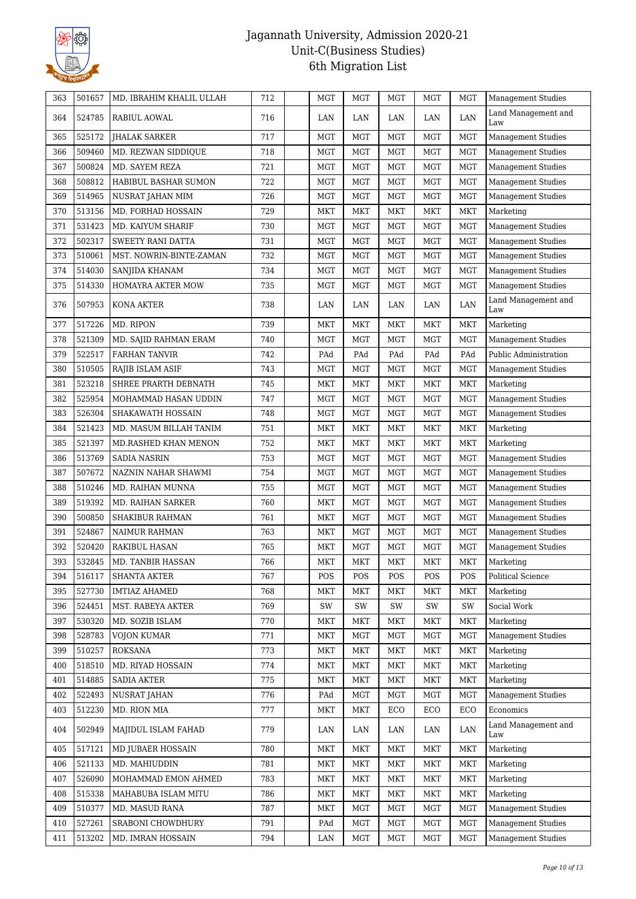

| 363 | 501657 | MD. IBRAHIM KHALIL ULLAH | 712 | MGT        | <b>MGT</b> | <b>MGT</b> | MGT          | <b>MGT</b> | <b>Management Studies</b>  |
|-----|--------|--------------------------|-----|------------|------------|------------|--------------|------------|----------------------------|
| 364 | 524785 | RABIUL AOWAL             | 716 | LAN        | LAN        | LAN        | LAN          | LAN        | Land Management and<br>Law |
| 365 | 525172 | <b>JHALAK SARKER</b>     | 717 | <b>MGT</b> | <b>MGT</b> | <b>MGT</b> | <b>MGT</b>   | <b>MGT</b> | <b>Management Studies</b>  |
| 366 | 509460 | MD. REZWAN SIDDIQUE      | 718 | MGT        | <b>MGT</b> | <b>MGT</b> | <b>MGT</b>   | <b>MGT</b> | <b>Management Studies</b>  |
| 367 | 500824 | MD. SAYEM REZA           | 721 | MGT        | <b>MGT</b> | <b>MGT</b> | <b>MGT</b>   | <b>MGT</b> | <b>Management Studies</b>  |
| 368 | 508812 | HABIBUL BASHAR SUMON     | 722 | <b>MGT</b> | MGT        | MGT        | MGT          | <b>MGT</b> | <b>Management Studies</b>  |
| 369 | 514965 | NUSRAT JAHAN MIM         | 726 | MGT        | MGT        | <b>MGT</b> | <b>MGT</b>   | <b>MGT</b> | Management Studies         |
| 370 | 513156 | MD. FORHAD HOSSAIN       | 729 | <b>MKT</b> | <b>MKT</b> | MKT        | MKT          | <b>MKT</b> | Marketing                  |
| 371 | 531423 | MD. KAIYUM SHARIF        | 730 | MGT        | <b>MGT</b> | <b>MGT</b> | MGT          | <b>MGT</b> | Management Studies         |
| 372 | 502317 | SWEETY RANI DATTA        | 731 | <b>MGT</b> | <b>MGT</b> | <b>MGT</b> | MGT          | <b>MGT</b> | <b>Management Studies</b>  |
| 373 | 510061 | MST. NOWRIN-BINTE-ZAMAN  | 732 | MGT        | <b>MGT</b> | <b>MGT</b> | MGT          | <b>MGT</b> | Management Studies         |
| 374 | 514030 | SANJIDA KHANAM           | 734 | MGT        | MGT        | <b>MGT</b> | <b>MGT</b>   | <b>MGT</b> | <b>Management Studies</b>  |
| 375 | 514330 | HOMAYRA AKTER MOW        | 735 | <b>MGT</b> | <b>MGT</b> | <b>MGT</b> | MGT          | <b>MGT</b> | <b>Management Studies</b>  |
| 376 | 507953 | KONA AKTER               | 738 | LAN        | LAN        | LAN        | LAN          | LAN        | Land Management and<br>Law |
| 377 | 517226 | MD. RIPON                | 739 | MKT        | <b>MKT</b> | <b>MKT</b> | <b>MKT</b>   | MKT        | Marketing                  |
| 378 | 521309 | MD. SAJID RAHMAN ERAM    | 740 | MGT        | <b>MGT</b> | <b>MGT</b> | <b>MGT</b>   | <b>MGT</b> | <b>Management Studies</b>  |
| 379 | 522517 | <b>FARHAN TANVIR</b>     | 742 | PAd        | PAd        | PAd        | PAd          | PAd        | Public Administration      |
| 380 | 510505 | RAJIB ISLAM ASIF         | 743 | MGT        | MGT        | MGT        | MGT          | <b>MGT</b> | <b>Management Studies</b>  |
| 381 | 523218 | SHREE PRARTH DEBNATH     | 745 | <b>MKT</b> | <b>MKT</b> | <b>MKT</b> | MKT          | <b>MKT</b> | Marketing                  |
| 382 | 525954 | MOHAMMAD HASAN UDDIN     | 747 | MGT        | <b>MGT</b> | <b>MGT</b> | <b>MGT</b>   | <b>MGT</b> | <b>Management Studies</b>  |
| 383 | 526304 | SHAKAWATH HOSSAIN        | 748 | <b>MGT</b> | <b>MGT</b> | <b>MGT</b> | MGT          | <b>MGT</b> | <b>Management Studies</b>  |
| 384 | 521423 | MD. MASUM BILLAH TANIM   | 751 | <b>MKT</b> | <b>MKT</b> | MKT        | <b>MKT</b>   | <b>MKT</b> | Marketing                  |
| 385 | 521397 | MD.RASHED KHAN MENON     | 752 | <b>MKT</b> | <b>MKT</b> | MKT        | MKT          | MKT        | Marketing                  |
| 386 | 513769 | <b>SADIA NASRIN</b>      | 753 | <b>MGT</b> | <b>MGT</b> | <b>MGT</b> | $_{\rm MGT}$ | <b>MGT</b> | <b>Management Studies</b>  |
| 387 | 507672 | NAZNIN NAHAR SHAWMI      | 754 | <b>MGT</b> | MGT        | MGT        | MGT          | <b>MGT</b> | Management Studies         |
| 388 | 510246 | MD. RAIHAN MUNNA         | 755 | MGT        | <b>MGT</b> | <b>MGT</b> | <b>MGT</b>   | <b>MGT</b> | Management Studies         |
| 389 | 519392 | MD. RAIHAN SARKER        | 760 | MKT        | <b>MGT</b> | <b>MGT</b> | MGT          | <b>MGT</b> | <b>Management Studies</b>  |
| 390 | 500850 | <b>SHAKIBUR RAHMAN</b>   | 761 | MKT        | <b>MGT</b> | <b>MGT</b> | MGT          | <b>MGT</b> | <b>Management Studies</b>  |
| 391 | 524867 | <b>NAIMUR RAHMAN</b>     | 763 | <b>MKT</b> | <b>MGT</b> | <b>MGT</b> | MGT          | <b>MGT</b> | <b>Management Studies</b>  |
| 392 | 520420 | <b>RAKIBUL HASAN</b>     | 765 | <b>MKT</b> | MGT        | <b>MGT</b> | <b>MGT</b>   | <b>MGT</b> | <b>Management Studies</b>  |
| 393 | 532845 | MD. TANBIR HASSAN        | 766 | MKT        | <b>MKT</b> | <b>MKT</b> | MKT          | <b>MKT</b> | Marketing                  |
| 394 | 516117 | <b>SHANTA AKTER</b>      | 767 | POS        | POS        | POS        | POS          | POS        | <b>Political Science</b>   |
| 395 | 527730 | <b>IMTIAZ AHAMED</b>     | 768 | <b>MKT</b> | <b>MKT</b> | <b>MKT</b> | <b>MKT</b>   | <b>MKT</b> | Marketing                  |
| 396 | 524451 | MST. RABEYA AKTER        | 769 | SW         | SW         | SW         | SW           | SW         | Social Work                |
| 397 | 530320 | MD. SOZIB ISLAM          | 770 | MKT        | MKT        | MKT        | MKT          | MKT        | Marketing                  |
| 398 | 528783 | VOJON KUMAR              | 771 | <b>MKT</b> | <b>MGT</b> | <b>MGT</b> | <b>MGT</b>   | <b>MGT</b> | <b>Management Studies</b>  |
| 399 | 510257 | ROKSANA                  | 773 | MKT        | <b>MKT</b> | <b>MKT</b> | MKT          | <b>MKT</b> | Marketing                  |
| 400 | 518510 | MD. RIYAD HOSSAIN        | 774 | <b>MKT</b> | <b>MKT</b> | <b>MKT</b> | MKT          | <b>MKT</b> | Marketing                  |
| 401 | 514885 | <b>SADIA AKTER</b>       | 775 | <b>MKT</b> | <b>MKT</b> | <b>MKT</b> | MKT          | <b>MKT</b> | Marketing                  |
| 402 | 522493 | NUSRAT JAHAN             | 776 | PAd        | <b>MGT</b> | <b>MGT</b> | <b>MGT</b>   | <b>MGT</b> | <b>Management Studies</b>  |
| 403 | 512230 | MD. RION MIA             | 777 | <b>MKT</b> | <b>MKT</b> | ECO        | ECO          | ECO        | Economics                  |
|     |        |                          |     |            |            |            |              |            | Land Management and        |
| 404 | 502949 | MAJIDUL ISLAM FAHAD      | 779 | LAN        | LAN        | LAN        | LAN          | LAN        | Law                        |
| 405 | 517121 | <b>MD JUBAER HOSSAIN</b> | 780 | <b>MKT</b> | <b>MKT</b> | MKT        | MKT          | MKT        | Marketing                  |
| 406 | 521133 | MD. MAHIUDDIN            | 781 | MKT        | <b>MKT</b> | <b>MKT</b> | MKT          | <b>MKT</b> | Marketing                  |
| 407 | 526090 | MOHAMMAD EMON AHMED      | 783 | MKT        | <b>MKT</b> | <b>MKT</b> | MKT          | <b>MKT</b> | Marketing                  |
| 408 | 515338 | MAHABUBA ISLAM MITU      | 786 | <b>MKT</b> | <b>MKT</b> | <b>MKT</b> | MKT          | <b>MKT</b> | Marketing                  |
| 409 | 510377 | MD. MASUD RANA           | 787 | <b>MKT</b> | <b>MGT</b> | <b>MGT</b> | <b>MGT</b>   | <b>MGT</b> | <b>Management Studies</b>  |
| 410 | 527261 | SRABONI CHOWDHURY        | 791 | PAd        | <b>MGT</b> | <b>MGT</b> | <b>MGT</b>   | <b>MGT</b> | <b>Management Studies</b>  |
| 411 | 513202 | MD. IMRAN HOSSAIN        | 794 | LAN        | <b>MGT</b> | <b>MGT</b> | MGT          | <b>MGT</b> | Management Studies         |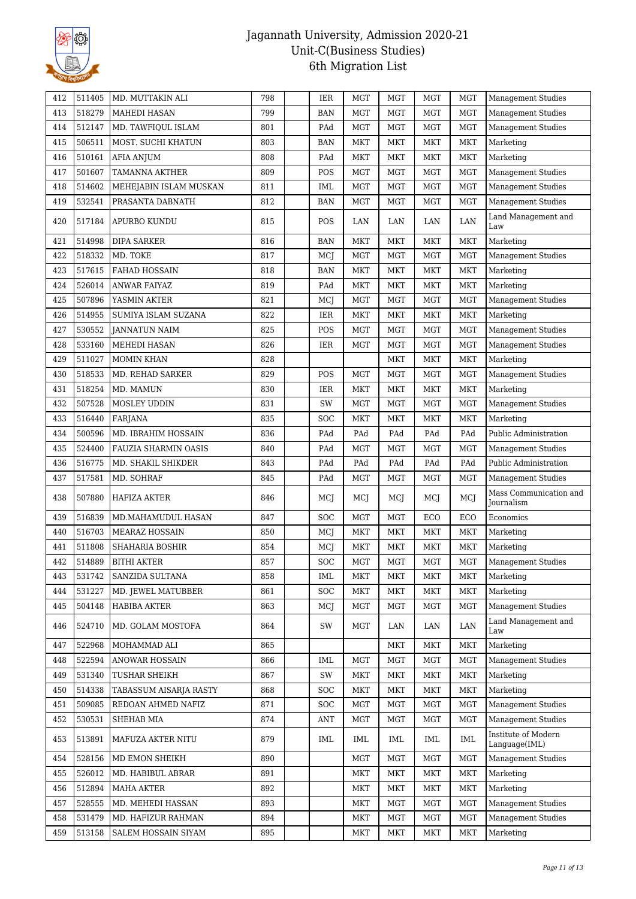

| 412 | 511405 | MD. MUTTAKIN ALI       | 798 | IER        | <b>MGT</b> | <b>MGT</b> | <b>MGT</b>   | <b>MGT</b> | <b>Management Studies</b>            |
|-----|--------|------------------------|-----|------------|------------|------------|--------------|------------|--------------------------------------|
| 413 | 518279 | MAHEDI HASAN           | 799 | <b>BAN</b> | <b>MGT</b> | <b>MGT</b> | <b>MGT</b>   | <b>MGT</b> | <b>Management Studies</b>            |
| 414 | 512147 | MD. TAWFIQUL ISLAM     | 801 | PAd        | MGT        | <b>MGT</b> | MGT          | <b>MGT</b> | <b>Management Studies</b>            |
| 415 | 506511 | MOST. SUCHI KHATUN     | 803 | <b>BAN</b> | <b>MKT</b> | <b>MKT</b> | <b>MKT</b>   | <b>MKT</b> | Marketing                            |
| 416 | 510161 | <b>AFIA ANJUM</b>      | 808 | PAd        | <b>MKT</b> | <b>MKT</b> | <b>MKT</b>   | MKT        | Marketing                            |
| 417 | 501607 | TAMANNA AKTHER         | 809 | POS        | <b>MGT</b> | <b>MGT</b> | MGT          | <b>MGT</b> | Management Studies                   |
| 418 | 514602 | MEHEJABIN ISLAM MUSKAN | 811 | IML        | <b>MGT</b> | <b>MGT</b> | $_{\rm MGT}$ | <b>MGT</b> | <b>Management Studies</b>            |
| 419 | 532541 | PRASANTA DABNATH       | 812 | <b>BAN</b> | MGT        | <b>MGT</b> | MGT          | <b>MGT</b> | Management Studies                   |
| 420 | 517184 | APURBO KUNDU           | 815 | POS        | LAN        | LAN        | LAN          | LAN        | Land Management and<br>Law           |
| 421 | 514998 | <b>DIPA SARKER</b>     | 816 | <b>BAN</b> | MKT        | MKT        | <b>MKT</b>   | <b>MKT</b> | Marketing                            |
| 422 | 518332 | MD. TOKE               | 817 | MCJ        | MGT        | <b>MGT</b> | MGT          | <b>MGT</b> | <b>Management Studies</b>            |
| 423 | 517615 | <b>FAHAD HOSSAIN</b>   | 818 | <b>BAN</b> | MKT        | <b>MKT</b> | <b>MKT</b>   | <b>MKT</b> | Marketing                            |
| 424 | 526014 | <b>ANWAR FAIYAZ</b>    | 819 | PAd        | MKT        | MKT        | <b>MKT</b>   | <b>MKT</b> | Marketing                            |
| 425 | 507896 | YASMIN AKTER           | 821 | MCJ        | MGT        | <b>MGT</b> | MGT          | <b>MGT</b> | <b>Management Studies</b>            |
| 426 | 514955 | SUMIYA ISLAM SUZANA    | 822 | IER        | MKT        | <b>MKT</b> | MKT          | MKT        | Marketing                            |
| 427 | 530552 | <b>JANNATUN NAIM</b>   | 825 | POS        | MGT        | <b>MGT</b> | MGT          | <b>MGT</b> | Management Studies                   |
| 428 | 533160 | MEHEDI HASAN           | 826 | IER        | <b>MGT</b> | <b>MGT</b> | <b>MGT</b>   | <b>MGT</b> | <b>Management Studies</b>            |
| 429 | 511027 | MOMIN KHAN             | 828 |            |            | MKT        | <b>MKT</b>   | <b>MKT</b> | Marketing                            |
| 430 | 518533 | MD. REHAD SARKER       | 829 | POS        | <b>MGT</b> | <b>MGT</b> | MGT          | <b>MGT</b> | <b>Management Studies</b>            |
| 431 | 518254 | MD. MAMUN              | 830 | IER        | MKT        | MKT        | MKT          | MKT        | Marketing                            |
| 432 | 507528 | MOSLEY UDDIN           | 831 | SW         | MGT        | <b>MGT</b> | <b>MGT</b>   | <b>MGT</b> | <b>Management Studies</b>            |
| 433 | 516440 | FARJANA                | 835 | SOC        | MKT        | MKT        | <b>MKT</b>   | <b>MKT</b> | Marketing                            |
| 434 | 500596 | MD. IBRAHIM HOSSAIN    | 836 | PAd        | PAd        | PAd        | PAd          | PAd        | Public Administration                |
| 435 | 524400 | FAUZIA SHARMIN OASIS   | 840 | PAd        | <b>MGT</b> | <b>MGT</b> | <b>MGT</b>   | <b>MGT</b> | <b>Management Studies</b>            |
| 436 | 516775 | MD. SHAKIL SHIKDER     | 843 | PAd        | PAd        | PAd        | PAd          | PAd        | Public Administration                |
| 437 | 517581 | MD. SOHRAF             | 845 | PAd        | <b>MGT</b> | <b>MGT</b> | MGT          | <b>MGT</b> | <b>Management Studies</b>            |
| 438 | 507880 | HAFIZA AKTER           | 846 | MCI        | MCI        | MCJ        | MCJ          | MCJ        | Mass Communication and<br>Journalism |
| 439 | 516839 | MD.MAHAMUDUL HASAN     | 847 | SOC        | <b>MGT</b> | <b>MGT</b> | ECO          | ECO        | Economics                            |
| 440 | 516703 | <b>MEARAZ HOSSAIN</b>  | 850 | MCJ        | <b>MKT</b> | MKT        | <b>MKT</b>   | <b>MKT</b> | Marketing                            |
| 441 | 511808 | SHAHARIA BOSHIR        | 854 | MCJ        | <b>MKT</b> | <b>MKT</b> | <b>MKT</b>   | <b>MKT</b> | Marketing                            |
| 442 | 514889 | <b>BITHI AKTER</b>     | 857 | SOC        | <b>MGT</b> | <b>MGT</b> | MGT          | <b>MGT</b> | <b>Management Studies</b>            |
| 443 | 531742 | SANZIDA SULTANA        | 858 | IML        | MKT        | MKT        | MKT          | <b>MKT</b> | Marketing                            |
| 444 | 531227 | MD. JEWEL MATUBBER     | 861 | SOC        | <b>MKT</b> | <b>MKT</b> | MKT          | <b>MKT</b> | Marketing                            |
| 445 | 504148 | <b>HABIBA AKTER</b>    | 863 | MCI        | <b>MGT</b> | <b>MGT</b> | MGT          | <b>MGT</b> | <b>Management Studies</b>            |
| 446 | 524710 | MD. GOLAM MOSTOFA      | 864 | SW         | <b>MGT</b> | LAN        | LAN          | LAN        | Land Management and<br>Law           |
| 447 | 522968 | MOHAMMAD ALI           | 865 |            |            | MKT        | MKT          | <b>MKT</b> | Marketing                            |
| 448 | 522594 | ANOWAR HOSSAIN         | 866 | IML        | MGT        | MGT        | MGT          | <b>MGT</b> | <b>Management Studies</b>            |
| 449 | 531340 | TUSHAR SHEIKH          | 867 | SW         | MKT        | <b>MKT</b> | MKT          | <b>MKT</b> | Marketing                            |
| 450 | 514338 | TABASSUM AISARJA RASTY | 868 | SOC        | MKT        | <b>MKT</b> | MKT          | <b>MKT</b> | Marketing                            |
| 451 | 509085 | REDOAN AHMED NAFIZ     | 871 | <b>SOC</b> | <b>MGT</b> | <b>MGT</b> | MGT          | <b>MGT</b> | <b>Management Studies</b>            |
| 452 | 530531 | SHEHAB MIA             | 874 | ANT        | <b>MGT</b> | MGT        | MGT          | MGT        | <b>Management Studies</b>            |
| 453 | 513891 | MAFUZA AKTER NITU      | 879 | IML        | IML        | IML        | IML          | <b>IML</b> | Institute of Modern<br>Language(IML) |
| 454 | 528156 | MD EMON SHEIKH         | 890 |            | <b>MGT</b> | <b>MGT</b> | MGT          | <b>MGT</b> | <b>Management Studies</b>            |
| 455 | 526012 | MD. HABIBUL ABRAR      | 891 |            | MKT        | <b>MKT</b> | MKT          | <b>MKT</b> | Marketing                            |
| 456 | 512894 | MAHA AKTER             | 892 |            | MKT        | MKT        | MKT          | <b>MKT</b> | Marketing                            |
| 457 | 528555 | MD. MEHEDI HASSAN      | 893 |            | MKT        | <b>MGT</b> | MGT          | <b>MGT</b> | Management Studies                   |
| 458 | 531479 | MD. HAFIZUR RAHMAN     | 894 |            | MKT        | <b>MGT</b> | MGT          | <b>MGT</b> | <b>Management Studies</b>            |
| 459 | 513158 | SALEM HOSSAIN SIYAM    | 895 |            | MKT        | MKT        | MKT          | MKT        | Marketing                            |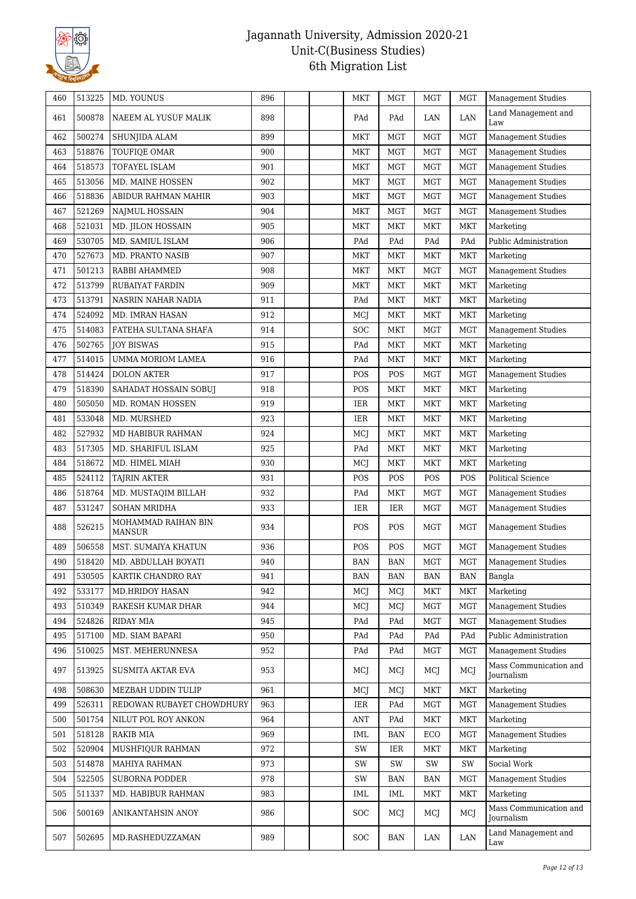

| 460 | 513225 | MD. YOUNUS                           | 896 | MKT        | <b>MGT</b> | MGT                         | <b>MGT</b> | <b>Management Studies</b>            |
|-----|--------|--------------------------------------|-----|------------|------------|-----------------------------|------------|--------------------------------------|
| 461 | 500878 | NAEEM AL YUSUF MALIK                 | 898 | PAd        | PAd        | LAN                         | LAN        | Land Management and<br>Law           |
| 462 | 500274 | <b>SHUNJIDA ALAM</b>                 | 899 | MKT        | <b>MGT</b> | MGT                         | <b>MGT</b> | <b>Management Studies</b>            |
| 463 | 518876 | TOUFIQE OMAR                         | 900 | <b>MKT</b> | <b>MGT</b> | MGT                         | <b>MGT</b> | Management Studies                   |
| 464 | 518573 | TOFAYEL ISLAM                        | 901 | <b>MKT</b> | <b>MGT</b> | <b>MGT</b>                  | <b>MGT</b> | <b>Management Studies</b>            |
| 465 | 513056 | MD. MAINE HOSSEN                     | 902 | <b>MKT</b> | <b>MGT</b> | <b>MGT</b>                  | <b>MGT</b> | <b>Management Studies</b>            |
| 466 | 518836 | ABIDUR RAHMAN MAHIR                  | 903 | MKT        | MGT        | MGT                         | <b>MGT</b> | <b>Management Studies</b>            |
| 467 | 521269 | NAJMUL HOSSAIN                       | 904 | <b>MKT</b> | <b>MGT</b> | <b>MGT</b>                  | <b>MGT</b> | <b>Management Studies</b>            |
| 468 | 521031 | MD. JILON HOSSAIN                    | 905 | <b>MKT</b> | <b>MKT</b> | MKT                         | <b>MKT</b> | Marketing                            |
| 469 | 530705 | MD. SAMIUL ISLAM                     | 906 | PAd        | PAd        | $\mathop{\mathrm{PAd}}$     | PAd        | Public Administration                |
| 470 | 527673 | MD. PRANTO NASIB                     | 907 | <b>MKT</b> | <b>MKT</b> | <b>MKT</b>                  | <b>MKT</b> | Marketing                            |
| 471 | 501213 | RABBI AHAMMED                        | 908 | <b>MKT</b> | <b>MKT</b> | <b>MGT</b>                  | <b>MGT</b> | <b>Management Studies</b>            |
| 472 | 513799 | RUBAIYAT FARDIN                      | 909 | <b>MKT</b> | <b>MKT</b> | <b>MKT</b>                  | <b>MKT</b> | Marketing                            |
| 473 | 513791 | NASRIN NAHAR NADIA                   | 911 | PAd        | <b>MKT</b> | <b>MKT</b>                  | <b>MKT</b> | Marketing                            |
| 474 | 524092 | MD. IMRAN HASAN                      | 912 | MCJ        | <b>MKT</b> | <b>MKT</b>                  | <b>MKT</b> | Marketing                            |
| 475 | 514083 | FATEHA SULTANA SHAFA                 | 914 | SOC        | MKT        | <b>MGT</b>                  | <b>MGT</b> | <b>Management Studies</b>            |
| 476 | 502765 | <b>JOY BISWAS</b>                    | 915 | PAd        | <b>MKT</b> | <b>MKT</b>                  | <b>MKT</b> | Marketing                            |
| 477 | 514015 | UMMA MORIOM LAMEA                    | 916 | PAd        | <b>MKT</b> | <b>MKT</b>                  | <b>MKT</b> | Marketing                            |
| 478 | 514424 | <b>DOLON AKTER</b>                   | 917 | POS        | POS        | <b>MGT</b>                  | <b>MGT</b> | <b>Management Studies</b>            |
| 479 | 518390 | SAHADAT HOSSAIN SOBUJ                | 918 | POS        | MKT        | MKT                         | <b>MKT</b> | Marketing                            |
|     | 505050 |                                      |     |            | <b>MKT</b> |                             |            |                                      |
| 480 |        | MD. ROMAN HOSSEN                     | 919 | IER        |            | MKT                         | MKT        | Marketing                            |
| 481 | 533048 | MD. MURSHED                          | 923 | IER        | <b>MKT</b> | <b>MKT</b>                  | <b>MKT</b> | Marketing                            |
| 482 | 527932 | MD HABIBUR RAHMAN                    | 924 | MCJ        | MKT        | <b>MKT</b>                  | <b>MKT</b> | Marketing                            |
| 483 | 517305 | MD. SHARIFUL ISLAM                   | 925 | PAd        | MKT        | <b>MKT</b>                  | <b>MKT</b> | Marketing                            |
| 484 | 518672 | MD. HIMEL MIAH                       | 930 | MCJ        | <b>MKT</b> | $\ensuremath{\mathsf{MKT}}$ | MKT        | Marketing                            |
| 485 | 524112 | <b>TAJRIN AKTER</b>                  | 931 | POS        | POS        | POS                         | POS        | Political Science                    |
| 486 | 518764 | MD. MUSTAQIM BILLAH                  | 932 | PAd        | MKT        | <b>MGT</b>                  | <b>MGT</b> | Management Studies                   |
| 487 | 531247 | <b>SOHAN MRIDHA</b>                  | 933 | IER        | IER        | MGT                         | <b>MGT</b> | Management Studies                   |
| 488 | 526215 | MOHAMMAD RAIHAN BIN<br><b>MANSUR</b> | 934 | POS        | POS        | <b>MGT</b>                  | <b>MGT</b> | <b>Management Studies</b>            |
| 489 | 506558 | MST. SUMAIYA KHATUN                  | 936 | POS        | POS        | <b>MGT</b>                  | <b>MGT</b> | <b>Management Studies</b>            |
| 490 | 518420 | MD. ABDULLAH BOYATI                  | 940 | <b>BAN</b> | <b>BAN</b> | <b>MGT</b>                  | <b>MGT</b> | Management Studies                   |
| 491 | 530505 | KARTIK CHANDRO RAY                   | 941 | <b>BAN</b> | <b>BAN</b> | <b>BAN</b>                  | <b>BAN</b> | Bangla                               |
| 492 | 533177 | <b>MD.HRIDOY HASAN</b>               | 942 | MCI        | MCJ        | MKT                         | <b>MKT</b> | Marketing                            |
| 493 | 510349 | RAKESH KUMAR DHAR                    | 944 | MCJ        | MCJ        | <b>MGT</b>                  | <b>MGT</b> | <b>Management Studies</b>            |
| 494 | 524826 | RIDAY MIA                            | 945 | PAd        | PAd        | <b>MGT</b>                  | <b>MGT</b> | <b>Management Studies</b>            |
| 495 | 517100 | MD. SIAM BAPARI                      | 950 | PAd        | PAd        | PAd                         | PAd        | Public Administration                |
| 496 | 510025 | MST. MEHERUNNESA                     | 952 | PAd        | PAd        | <b>MGT</b>                  | <b>MGT</b> | <b>Management Studies</b>            |
| 497 | 513925 | SUSMITA AKTAR EVA                    | 953 | MCJ        | MCI        | MCI                         | MCJ        | Mass Communication and<br>Journalism |
| 498 | 508630 | MEZBAH UDDIN TULIP                   | 961 | MCI        | MCJ        | <b>MKT</b>                  | <b>MKT</b> | Marketing                            |
| 499 | 526311 | REDOWAN RUBAYET CHOWDHURY            | 963 | IER        | PAd        | <b>MGT</b>                  | <b>MGT</b> | <b>Management Studies</b>            |
| 500 | 501754 | NILUT POL ROY ANKON                  | 964 | <b>ANT</b> | PAd        | MKT                         | <b>MKT</b> | Marketing                            |
| 501 | 518128 | <b>RAKIB MIA</b>                     | 969 | IML        | <b>BAN</b> | ECO                         | <b>MGT</b> | <b>Management Studies</b>            |
| 502 | 520904 | MUSHFIQUR RAHMAN                     | 972 | SW         | IER.       | MKT                         | <b>MKT</b> | Marketing                            |
| 503 | 514878 | MAHIYA RAHMAN                        | 973 | SW         | SW         | SW                          | SW         | Social Work                          |
| 504 | 522505 | <b>SUBORNA PODDER</b>                | 978 | SW         | <b>BAN</b> | <b>BAN</b>                  | <b>MGT</b> | <b>Management Studies</b>            |
| 505 | 511337 | MD. HABIBUR RAHMAN                   | 983 | <b>IML</b> | IML        | <b>MKT</b>                  | <b>MKT</b> | Marketing                            |
| 506 | 500169 | ANIKANTAHSIN ANOY                    | 986 | SOC        | MCJ        | MCJ                         | MCJ        | Mass Communication and<br>Journalism |
| 507 | 502695 | MD.RASHEDUZZAMAN                     | 989 | <b>SOC</b> | <b>BAN</b> | LAN                         | LAN        | Land Management and<br>Law           |
|     |        |                                      |     |            |            |                             |            |                                      |